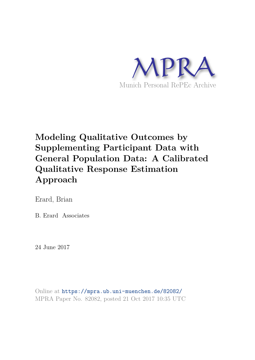

# **Modeling Qualitative Outcomes by Supplementing Participant Data with General Population Data: A Calibrated Qualitative Response Estimation Approach**

Erard, Brian

B. Erard Associates

24 June 2017

Online at https://mpra.ub.uni-muenchen.de/82082/ MPRA Paper No. 82082, posted 21 Oct 2017 10:35 UTC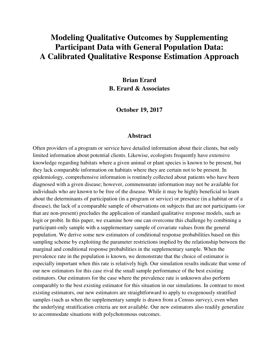## **Modeling Qualitative Outcomes by Supplementing Participant Data with General Population Data: A Calibrated Qualitative Response Estimation Approach**

**Brian Erard B. Erard & Associates** 

**October 19, 2017** 

### **Abstract**

Often providers of a program or service have detailed information about their clients, but only limited information about potential clients. Likewise, ecologists frequently have extensive knowledge regarding habitats where a given animal or plant species is known to be present, but they lack comparable information on habitats where they are certain not to be present. In epidemiology, comprehensive information is routinely collected about patients who have been diagnosed with a given disease; however, commensurate information may not be available for individuals who are known to be free of the disease. While it may be highly beneficial to learn about the determinants of participation (in a program or service) or presence (in a habitat or of a disease), the lack of a comparable sample of observations on subjects that are not participants (or that are non-present) precludes the application of standard qualitative response models, such as logit or probit. In this paper, we examine how one can overcome this challenge by combining a participant-only sample with a supplementary sample of covariate values from the general population. We derive some new estimators of conditional response probabilities based on this sampling scheme by exploiting the parameter restrictions implied by the relationship between the marginal and conditional response probabilities in the supplementary sample. When the prevalence rate in the population is known, we demonstrate that the choice of estimator is especially important when this rate is relatively high. Our simulation results indicate that some of our new estimators for this case rival the small sample performance of the best existing estimators. Our estimators for the case where the prevalence rate is unknown also perform comparably to the best existing estimator for this situation in our simulations. In contrast to most existing estimators, our new estimators are straightforward to apply to exogenously stratified samples (such as when the supplementary sample is drawn from a Census survey), even when the underlying stratification criteria are not available. Our new estimators also readily generalize to accommodate situations with polychotomous outcomes.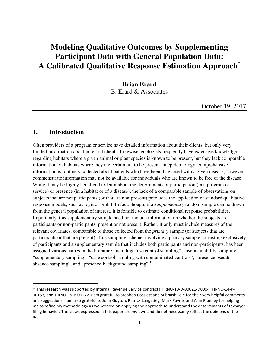## **Modeling Qualitative Outcomes by Supplementing Participant Data with General Population Data: A Calibrated Qualitative Response Estimation Approach\***

**Brian Erard**  B. Erard & Associates

October 19, 2017

### **1. Introduction**

 $\overline{\phantom{0}}$ 

Often providers of a program or service have detailed information about their clients, but only very limited information about potential clients. Likewise, ecologists frequently have extensive knowledge regarding habitats where a given animal or plant species is known to be present, but they lack comparable information on habitats where they are certain not to be present. In epidemiology, comprehensive information is routinely collected about patients who have been diagnosed with a given disease; however, commensurate information may not be available for individuals who are known to be free of the disease. While it may be highly beneficial to learn about the determinants of participation (in a program or service) or presence (in a habitat or of a disease), the lack of a comparable sample of observations on subjects that are not participants (or that are non-present) precludes the application of standard qualitative response models, such as logit or probit. In fact, though, if a *supplementary* random sample can be drawn from the general population of interest, it is feasible to estimate conditional response probabilities. Importantly, this supplementary sample need not include information on whether the subjects are participants or non-participants, present or not present. Rather, it only must include measures of the relevant covariates, comparable to those collected from the *primary* sample (of subjects that are participants or that are present). This sampling scheme, involving a primary sample consisting exclusively of participants and a supplementary sample that includes both participants and non-participants, has been assigned various names in the literature, including "use control sampling", "use-availability sampling" "supplementary sampling", "case control sampling with contaminated controls", "presence pseudoabsence sampling", and "presence-background sampling".<sup>1</sup>

<sup>\*</sup> This research was supported by Internal Revenue Service contracts TIRNO-10-D-00021-D0004, TIRNO-14-P-00157, and TIRNO-15-P-00172. I am grateful to Stephen Cosslett and Subhash Lele for their very helpful comments and suggestions. I am also grateful to John Guyton, Patrick Langetieg, Mark Payne, and Alan Plumley for helping me to refine my methodology as we worked on applying the approach to understand the determinants of taxpayer filing behavior. The views expressed in this paper are my own and do not necessarily reflect the opinions of the IRS.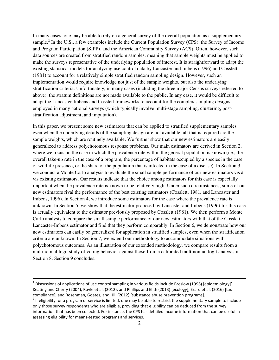In many cases, one may be able to rely on a general survey of the overall population as a supplementary sample.<sup>2</sup> In the U.S., a few examples include the Current Population Survey (CPS), the Survey of Income and Program Participation (SIPP), and the American Community Survey (ACS). Often, however, such data sources are created from stratified random samples, meaning that sample weights must be applied to make the surveys representative of the underlying population of interest. It is straightforward to adapt the existing statistical models for analyzing use control data by Lancaster and Imbens (1996) and Cosslett (1981) to account for a relatively simple stratified random sampling design. However, such an implementation would require knowledge not just of the sample weights, but also the underlying stratification criteria. Unfortunately, in many cases (including the three major Census surveys referred to above), the stratum definitions are not made available to the public. In any case, it would be difficult to adapt the Lancaster-Imbens and Cosslett frameworks to account for the complex sampling designs employed in many national surveys (which typically involve multi-stage sampling, clustering, poststratification adjustment, and imputation).

In this paper, we present some new estimators that can be applied to stratified supplementary samples even when the underlying details of the sampling design are not available; all that is required are the sample weights, which are routinely available. We further show that our new estimators are easily generalized to address polychotomous response problems. Our main estimators are derived in Section 2, where we focus on the case in which the prevalence rate within the general population is known (i.e., the overall take-up rate in the case of a program, the percentage of habitats occupied by a species in the case of wildlife presence, or the share of the population that is infected in the case of a disease). In Section 3, we conduct a Monte Carlo analysis to evaluate the small sample performance of our new estimators vis à vis existing estimators. Our results indicate that the choice among estimators for this case is especially important when the prevalence rate is known to be relatively high. Under such circumstances, some of our new estimators rival the performance of the best existing estimators (Cosslett, 1981, and Lancaster and Imbens, 1996). In Section 4, we introduce some estimators for the case where the prevalence rate is unknown. In Section 5, we show that the estimator proposed by Lancaster and Imbens (1996) for this case is actually equivalent to the estimator previously proposed by Cosslett (1981). We then perform a Monte Carlo analysis to compare the small sample performance of our new estimators with that of the Cosslett-Lancaster-Imbens estimator and find that they perform comparably. In Section 6, we demonstrate how our new estimators can easily be generalized for application in stratified samples, even when the stratification criteria are unknown. In Section 7, we extend our methodology to accommodate situations with polychotomous outcomes. As an illustration of our extended methodology, we compare results from a multinomial logit study of voting behavior against those from a calibrated multinomial logit analysis in Section 8. Section 9 concludes.

 $\overline{a}$ 

<sup>&</sup>lt;sup>1</sup> Discussions of applications of use control sampling in various fields include Breslow (1996) [epidemiology]' Keating and Cherry (2004), Royle et al. (2012), and Phillips and Elith (2013) [ecology]; Erard et al. (2016) [tax compliance]; and Rosenman, Goates, and Hill (2012) [substance abuse prevention programs].

 $^2$  If eligibility for a program or service is limited, one may be able to restrict the supplementary sample to include only those survey respondents who are eligible, providing that eligibility can be deduced from the survey information that has been collected. For instance, the CPS has detailed income information that can be useful in assessing eligibility for means-tested programs and services.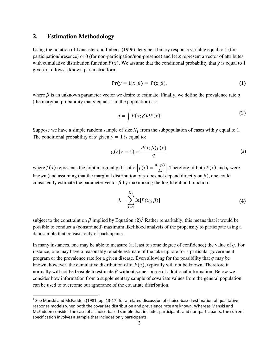## **2. Estimation Methodology**

l

Using the notation of Lancaster and Imbens (1996), let y be a binary response variable equal to 1 (for participation/presence) or 0 (for non-participation/non-presence) and let  $x$  represent a vector of attributes with cumulative distribution function  $F(x)$ . We assume that the conditional probability that y is equal to 1 given  $x$  follows a known parametric form:

$$
Pr(y = 1|x; \beta) = P(x; \beta), \tag{1}
$$

where  $\beta$  is an unknown parameter vector we desire to estimate. Finally, we define the prevalence rate q (the marginal probability that y equals 1 in the population) as:

<span id="page-4-1"></span><span id="page-4-0"></span>
$$
q = \int P(x;\beta)dF(x). \tag{2}
$$

Suppose we have a simple random sample of size  $N_1$  from the subpopulation of cases with y equal to 1. The conditional probability of x given  $y = 1$  is equal to:

$$
g(x|y = 1) = \frac{P(x; \beta)f(x)}{q},
$$
\n(3)

where  $f(x)$  represents the joint marginal p.d.f. of  $x \left[ f(x) = \frac{dF(x)}{dx} \right]$ . Therefore, if both  $F(x)$  and q were known (and assuming that the marginal distribution of  $x$  does not depend directly on  $\beta$ ), one could consistently estimate the parameter vector  $\beta$  by maximizing the log-likelihood function:

$$
L = \sum_{i=1}^{N_1} ln[P(x_i; \beta)] \tag{4}
$$

subject to the constraint on  $\beta$  implied by Equation ([2](#page-4-0)).<sup>3</sup> Rather remarkably, this means that it would be possible to conduct a (constrained) maximum likelihood analysis of the propensity to participate using a data sample that consists only of participants.

In many instances, one may be able to measure (at least to some degree of confidence) the value of  $q$ . For instance, one may have a reasonably reliable estimate of the take-up rate for a particular government program or the prevalence rate for a given disease. Even allowing for the possibility that  $q$  may be known, however, the cumulative distribution of  $x, F(x)$ , typically will not be known. Therefore it normally will not be feasible to estimate  $\beta$  without some source of additional information. Below we consider how information from a supplementary sample of covariate values from the general population can be used to overcome our ignorance of the covariate distribution.

<sup>&</sup>lt;sup>3</sup> See Manski and McFadden (1981, pp. 13-17) for a related discussion of choice-based estimation of qualitative response models when both the covariate distribution and prevalence rate are known. Whereas Manski and McFadden consider the case of a choice-based sample that includes participants and non-participants, the current specification involves a sample that includes only participants.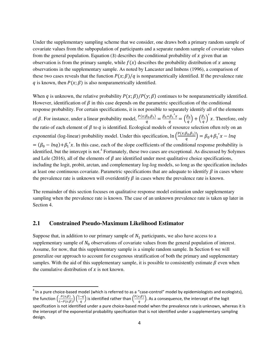Under the supplementary sampling scheme that we consider, one draws both a primary random sample of covariate values from the subpopulation of participants and a separate random sample of covariate values from the general population. Equation ([3](#page-4-1)) describes the conditional probability of x given that an observation is from the primary sample, while  $f(x)$  describes the probability distribution of x among observations in the supplementary sample. As noted by Lancaster and Imbens (1996), a comparison of these two cases reveals that the function  $P(x; \beta)/q$  is nonparametrically identified. If the prevalence rate q is known, then  $P(x; \beta)$  is also nonparametrically identified.

When q is unknown, the relative probability  $P(x; \beta)/P(y; \beta)$  continues to be nonparametrically identified. However, identification of  $\beta$  in this case depends on the parametric specification of the conditional response probability. For certain specifications, it is not possible to separately identify all of the elements of  $\beta$ . For instance, under a linear probability model,  $\frac{P(x;\beta_0,\beta_1)}{q}$  $\frac{\beta_0, \beta_1}{q} = \frac{\beta_0 + {\beta_1}' x}{q}$  $\frac{\beta_1 x}{q} = \left(\frac{\beta_0}{q}\right) + \left(\frac{\beta_1}{q}\right)$  $x$ . Therefore, only the ratio of each element of  $\beta$  to  $q$  is identified. Ecological models of resource selection often rely on an exponential (log-linear) probability model. Under this specification,  $\ln \left( \frac{P(x;\beta_0,\beta_1)}{q} \right)$  $\left(\frac{B_0,\beta_1j}{q}\right) = \beta_0 + \beta_1'x - lnq$  $= (\beta_0 - lnq) + \beta_1' x$ . In this case, each of the slope coefficients of the conditional response probability is identified, but the intercept is not.<sup>4</sup> Fortunately, these two cases are exceptional. As discussed by Solymos and Lele (2016), all of the elements of  $\beta$  are identified under most qualitative choice specifications. including the logit, probit, arctan, and complementary log-log models, so long as the specification includes at least one continuous covariate. Parametric specifications that are adequate to identify  $\beta$  in cases where the prevalence rate is unknown will overidentify  $\beta$  in cases where the prevalence rate is known.

The remainder of this section focuses on qualitative response model estimation under supplementary sampling when the prevalence rate is known. The case of an unknown prevalence rate is taken up later in Section 4.

#### **2.1 Constrained Pseudo-Maximum Likelihood Estimator**

l

Suppose that, in addition to our primary sample of  $N_1$  participants, we also have access to a supplementary sample of  $N_0$  observations of covariate values from the general population of interest. Assume, for now, that this supplementary sample is a simple random sample. In Section 6 we will generalize our approach to account for exogenous stratification of both the primary and supplementary samples. With the aid of this supplementary sample, it is possible to consistently estimate  $\beta$  even when the cumulative distribution of  $x$  is not known.

 $^4$  In a pure choice-based model (which is referred to as a "case-control" model by epidemiologists and ecologists), the function  $\left(\frac{P(x;\beta)}{1-P(x;\beta)}\right)\left(\frac{1-q}{q}\right)$  is identified rather than  $\left(\frac{P(x;\beta)}{q}\right)$ . As a consequence, the intercept of the logit specification is not identified under a pure choice-based model when the prevalence rate is unknown, whereas it is the intercept of the exponential probability specification that is not identified under a supplementary sampling design.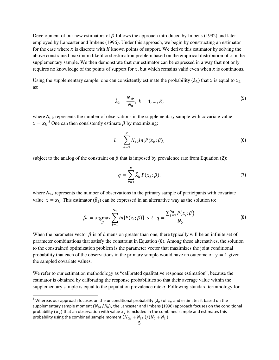Development of our new estimators of  $\beta$  follows the approach introduced by Imbens (1992) and later employed by Lancaster and Imbens (1996). Under this approach, we begin by constructing an estimator for the case where x is discrete with K known points of support. We derive this estimator by solving the above constrained maximum likelihood estimation problem based on the empirical distribution of *x* in the supplementary sample. We then demonstrate that our estimator can be expressed in a way that not only requires no knowledge of the points of support for  $x$ , but which remains valid even when  $x$  is continuous.

Using the supplementary sample, one can consistently estimate the probability  $(\lambda_k)$  that x is equal to  $x_k$ as:

$$
\tilde{\lambda}_k = \frac{N_{0k}}{N_0}, \ k = 1, \dots, K,\tag{5}
$$

where  $N_{0k}$  represents the number of observations in the supplementary sample with covariate value  $x = x_k$ <sup>5</sup> One can then consistently estimate  $\beta$  by maximizing:

$$
L = \sum_{k=1}^{K} N_{1k} ln[P(x_k; \beta)] \tag{6}
$$

subject to the analog of the constraint on  $\beta$  that is imposed by prevalence rate from Equation ([2](#page-4-0)):

<span id="page-6-0"></span>
$$
q = \sum_{k=1}^{K} \tilde{\lambda}_k P(x_k; \beta), \tag{7}
$$

where  $N_{1k}$  represents the number of observations in the primary sample of participants with covariate value  $x = x_k$ . This estimator  $(\hat{\beta}_1)$  can be expressed in an alternative way as the solution to:

$$
\tilde{\beta}_1 = \underset{\beta}{\text{argmax}} \sum_{i=1}^{N_1} \ln[P(x_i; \beta)] \ \text{ s.t. } q = \frac{\sum_{j=1}^{N_0} P(x_j; \beta)}{N_0}.
$$
 (8)

When the parameter vector  $\beta$  is of dimension greater than one, there typically will be an infinite set of parameter combinations that satisfy the constraint in Equation ([8](#page-6-0)). Among these alternatives, the solution to the constrained optimization problem is the parameter vector that maximizes the joint conditional probability that each of the observations in the primary sample would have an outcome of  $y = 1$  given the sampled covariate values.

We refer to our estimation methodology as "calibrated qualitative response estimation", because the estimator is obtained by calibrating the response probabilities so that their average value within the supplementary sample is equal to the population prevalence rate  $q$ . Following standard terminology for

l

<sup>&</sup>lt;sup>5</sup> Whereas our approach focuses on the unconditional probability ( $\lambda_k$ ) of  $x_k$  and estimates it based on the supplementary sample moment  $(N_{0k}/N_0)$ , the Lancaster and Imbens (1996) approach focuses on the conditional probability  $(\pi_k)$  that an observation with value  $x_k$  is included in the combined sample and estimates this probability using the combined sample moment  $(N_{0k} + N_{1k})/(N_0 + N_1)$ .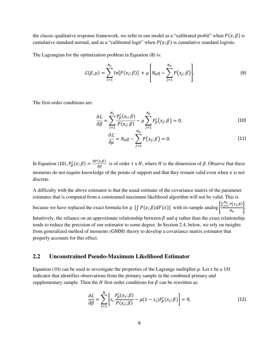the classic qualitative response framework, we refer to our model as a "calibrated probit" when  $P(x; \beta)$  is cumulative standard normal, and as a "calibrated logit" when  $P(x; \beta)$  is cumulative standard logistic.

The Lagrangian for the optimization problem in Equation ([8](#page-6-0)) is:

<span id="page-7-2"></span><span id="page-7-0"></span>
$$
\mathcal{L}(\beta,\mu) = \sum_{i=1}^{N_1} ln[P(x_i;\beta)] + \mu \left[ N_0 q - \sum_{j=1}^{N_0} P(x_j;\beta) \right].
$$
 (9)

The first-order conditions are:

$$
\frac{\partial \mathcal{L}}{\partial \beta} = \sum_{i=1}^{N_1} \frac{P'_\beta(x_i; \beta)}{P(x_i; \beta)} - \mu \sum_{j=1}^{N_0} P'_\beta(x_j; \beta) = 0. \tag{10}
$$

$$
\frac{\partial \mathcal{L}}{\partial \mu} = N_0 q - \sum_{j=1}^{N_0} P(x_j; \beta) = 0. \tag{11}
$$

In Equation ([10](#page-7-0)),  $P'_\beta(x;\beta) = \frac{\partial P(x;\beta)}{\partial \beta}$  is of order 1 x H, where H is the dimension of  $\beta$ . Observe that these moments do not require knowledge of the points of support and that they remain valid even when  $x$  is not discrete.

A difficulty with the above estimator is that the usual estimate of the covariance matrix of the parameter estimates that is computed from a constrained maximum likelihood algorithm will not be valid. This is

because we have replaced the exact formula for  $q \left[ \int P(x;\beta) dF(x) \right]$  with its sample analog  $\left[ \frac{\sum_{j=1}^{N_0} P(x_j;\beta)}{N_0} \right]$  $\frac{N_0}{N_0}$ .

Intuitively, the reliance on an approximate relationship between  $\beta$  and  $q$  rather than the exact relationship tends to reduce the precision of our estimator to some degree. In Section 2.4, below, we rely on insights from generalized method of moments (GMM) theory to develop a covariance matrix estimator that properly accounts for this effect.

#### **2.2 Unconstrained Pseudo-Maximum Likelihood Estimator**

Equation [\(10\)](#page-7-0) can be used to investigate the properties of the Lagrange multiplier  $\mu$ . Let s be a 1/0 indicator that identifies observations from the primary sample in the combined primary and supplementary sample. Then the  $H$  first-order conditions for  $\beta$  can be rewritten as:

<span id="page-7-1"></span>
$$
\frac{\partial \mathcal{L}}{\partial \beta} = \sum_{i=1}^{N} \left[ s_i \frac{P'_{\beta}(x_i; \beta)}{P(x_i; \beta)} - \mu (1 - s_i) P'_{\beta}(x_i; \beta) \right] = 0,
$$
\n(12)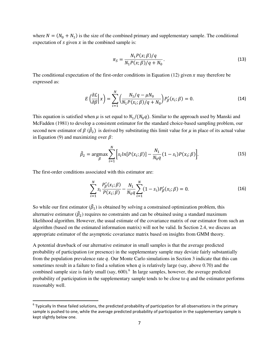where  $N = (N_0 + N_1)$  is the size of the combined primary and supplementary sample. The conditional expectation of  $s$  given  $x$  in the combined sample is:

$$
\pi_S = \frac{N_1 P(x; \beta) / q}{N_1 P(x; \beta) / q + N_0}.
$$
\n(13)

The conditional expectation of the first-order conditions in Equation [\(12\)](#page-7-1) given  $x$  may therefore be expressed as:

$$
E\left(\frac{\partial \mathcal{L}}{\partial \beta}\bigg| \, x\right) = \sum_{i=1}^{N} \left( \frac{N_1/q - \mu N_0}{N_1 P(x_i; \beta)/q + N_0} \right) P'_{\beta}(x_i; \beta) = 0. \tag{14}
$$

This equation is satisfied when  $\mu$  is set equal to  $N_1/(N_0q)$ . Similar to the approach used by Manski and McFadden (1981) to develop a consistent estimator for the standard choice-based sampling problem, our second new estimator of  $\beta$  ( $\beta_2$ ) is derived by substituting this limit value for  $\mu$  in place of its actual value in Equation [\(9\)](#page-7-2) and maximizing over  $\beta$ :

$$
\tilde{\beta}_2 = \underset{\beta}{\text{argmax}} \sum_{i=1}^{N} \Big[ s_i ln[P(x_i; \beta)] - \frac{N_1}{N_0 q} (1 - s_i) P(x_i; \beta) \Big]. \tag{15}
$$

The first-order conditions associated with this estimator are:

 $\overline{a}$ 

<span id="page-8-0"></span>
$$
\sum_{i=1}^{N} s_i \frac{P'_{\beta}(x_i; \beta)}{P(x_i; \beta)} - \frac{N_1}{N_0 q} \sum_{i=1}^{N} (1 - s_i) P'_{\beta}(x_i; \beta) = 0.
$$
 (16)

So while our first estimator  $(\hat{\beta}_1)$  is obtained by solving a constrained optimization problem, this alternative estimator  $(\hat{\beta}_2)$  requires no constraints and can be obtained using a standard maximum likelihood algorithm. However, the usual estimate of the covariance matrix of our estimator from such an algorithm (based on the estimated information matrix) will not be valid. In Section 2.4, we discuss an appropriate estimator of the asymptotic covariance matrix based on insights from GMM theory.

A potential drawback of our alternative estimator in small samples is that the average predicted probability of participation (or presence) in the supplementary sample may deviate fairly substantially from the population prevalence rate  $q$ . Our Monte Carlo simulations in Section 3 indicate that this can sometimes result in a failure to find a solution when  $q$  is relatively large (say, above 0.70) and the combined sample size is fairly small (say,  $600$ ).<sup>6</sup> In large samples, however, the average predicted probability of participation in the supplementary sample tends to be close to  $q$  and the estimator performs reasonably well.

 $^6$  Typically In these failed solutions, the predicted probability of participation for all observations in the primary sample is pushed to one, while the average predicted probability of participation in the supplementary sample is kept slightly below one.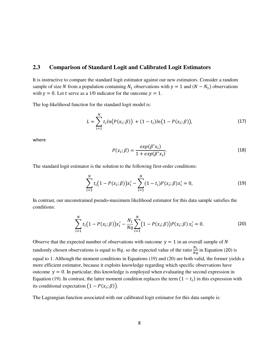### **2.3 Comparison of Standard Logit and Calibrated Logit Estimators**

It is instructive to compare the standard logit estimator against our new estimators. Consider a random sample of size N from a population containing  $N_1$  observations with y = 1 and ( $N - N_1$ ) observations with  $y = 0$ . Let t serve as a 1/0 indicator for the outcome  $y = 1$ .

The log-likelihood function for the standard logit model is:

$$
L = \sum_{i=1}^{N} t_i ln(P(x_i; \beta)) + (1 - t_i) ln(1 - P(x_i; \beta)),
$$
\n(17)

where

<span id="page-9-2"></span><span id="page-9-1"></span><span id="page-9-0"></span>
$$
P(x_i; \beta) = \frac{\exp(\beta' x_i)}{1 + \exp(\beta' x_i)}.
$$
\n(18)

The standard logit estimator is the solution to the following first-order conditions:

$$
\sum_{i=1}^{N} t_i (1 - P(x_i; \beta)) x'_i - \sum_{i=1}^{N} (1 - t_i) P(x_i; \beta) x'_i = 0,
$$
\n(19)

In contrast, our unconstrained pseudo-maximum likelihood estimator for this data sample satisfies the conditions:

$$
\sum_{i=1}^{N} t_i (1 - P(x_i; \beta)) x'_i - \frac{N_1}{Nq} \sum_{i=1}^{N} (1 - P(x_i; \beta)) P(x_i; \beta) x'_i = 0.
$$
 (20)

Observe that the expected number of observations with outcome  $y = 1$  in an overall sample of N randomly chosen observations is equal to  $Nq$ , so the expected value of the ratio  $\frac{N_1}{Nq}$  in Equation ([20](#page-9-0)) is equal to 1. Although the moment conditions in Equations [\(19\)](#page-9-1) and [\(20\)](#page-9-0) are both valid, the former yields a more efficient estimator, because it exploits knowledge regarding which specific observations have outcome  $y = 0$ . In particular, this knowledge is employed when evaluating the second expression in Equation [\(19\)](#page-9-1). In contrast, the latter moment condition replaces the term  $(1 - t_i)$  in this expression with its conditional expectation  $(1 - P(x_i; \beta))$ .

The Lagrangian function associated with our calibrated logit estimator for this data sample is: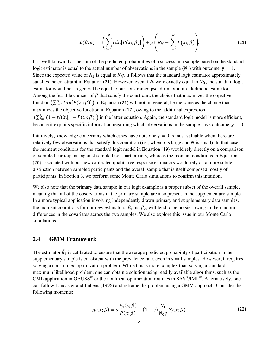<span id="page-10-0"></span>
$$
\mathcal{L}(\beta,\mu) = \left(\sum_{i=1}^N t_i ln[P(x_i;\beta)]\right) + \mu \left(Nq - \sum_{j=1}^N P(x_j;\beta)\right).
$$
 (21)

It is well known that the sum of the predicted probabilities of a success in a sample based on the standard logit estimator is equal to the actual number of observations in the sample  $(N_1)$  with outcome  $y = 1$ . Since the expected value of  $N_1$  is equal to  $Nq$ , it follows that the standard logit estimator approximately satisfies the constraint in Equation ([21](#page-10-0)). However, even if  $N_1$  were exactly equal to  $Nq$ , the standard logit estimator would not in general be equal to our constrained pseudo-maximum likelihood estimator. Among the feasible choices of  $\beta$  that satisfy the constraint, the choice that maximizes the objective function  $(\sum_{i=1}^{N} t_i ln[P(x_i; \beta)])$  in Equation ([21](#page-10-0)) will not, in general, be the same as the choice that maximizes the objective function in Equation ([17](#page-9-2)), owing to the additional expression  $(\sum_{i=1}^{N} (1-t_i)ln[1-P(x_i;\beta)]$  in the latter equation. Again, the standard logit model is more efficient, because it exploits specific information regarding which observations in the sample have outcome  $y = 0$ .

Intuitively, knowledge concerning which cases have outcome  $y = 0$  is most valuable when there are relatively few observations that satisfy this condition (i.e., when  $q$  is large and  $N$  is small). In that case, the moment conditions for the standard logit model in Equation [\(19\)](#page-9-1) would rely directly on a comparison of sampled participants against sampled non-participants, whereas the moment conditions in Equation ([20](#page-9-0)) associated with our new calibrated qualitative response estimators would rely on a more subtle distinction between sampled participants and the overall sample that is itself composed mostly of participants. In Section 3, we perform some Monte Carlo simulations to confirm this intuition.

We also note that the primary data sample in our logit example is a proper subset of the overall sample, meaning that all of the observations in the primary sample are also present in the supplementary sample. In a more typical application involving independently drawn primary and supplementary data samples, the moment conditions for our new estimators,  $\beta_1$  and  $\beta_2$ , will tend to be noisier owing to the random differences in the covariates across the two samples. We also explore this issue in our Monte Carlo simulations.

#### **2.4 GMM Framework**

The estimator  $\beta_1$  is calibrated to ensure that the average predicted probability of participation in the supplementary sample is consistent with the prevalence rate, even in small samples. However, it requires solving a constrained optimization problem. While this is more complex than solving a standard maximum likelihood problem, one can obtain a solution using readily available algorithms, such as the CML application in GAUSS<sup>®</sup> or the nonlinear optimization routines in SAS<sup>®</sup>/IML<sup>®</sup>. Alternatively, one can follow Lancaster and Imbens (1996) and reframe the problem using a GMM approach. Consider the following moments:

<span id="page-10-1"></span>
$$
g_1(x; \beta) = s \frac{P'_\beta(x; \beta)}{P(x; \beta)} - (1 - s) \frac{N_1}{N_0 q} P'_\beta(x; \beta).
$$
 (22)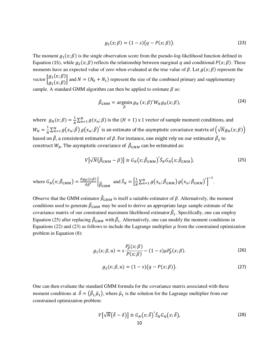$$
g_2(x; \beta) = (1 - s)(q - P(x; \beta)).
$$
\n(23)

The moment  $g_1(x;\beta)$  is the single observation score from the pseudo-log-likelihood function defined in Equation ([15](#page-8-0)), while  $g_2(x;\beta)$  reflects the relationship between marginal q and conditional  $P(x;\beta)$ . These moments have an expected value of zero when evaluated at the true value of  $\beta$ . Let  $g(x; \beta)$  represent the vector  $\begin{bmatrix} g_1(x;\beta) \\ g_2(x;\beta) \end{bmatrix}$  $g_2(x;\beta)$  and  $N = (N_0 + N_1)$  represent the size of the combined primary and supplementary  $g_2(x;\beta)$ sample. A standard GMM algorithm can then be applied to estimate  $\beta$  as:

$$
\tilde{\beta}_{GMM} = \underset{\beta}{\text{argmin}} \, g_N \, (x; \beta)' W_N g_N(x; \beta), \tag{24}
$$

where  $g_N(x; \beta) = \frac{1}{N} \sum_{n=1}^N g(x_n; \beta)$  is the  $(H + 1)$  x 1 vector of sample moment conditions, and  $\boldsymbol{N}$  $W_N = \frac{1}{N}$  $\frac{1}{N}\sum_{n=1}^N g\big(x_n;\tilde{\beta}\big)\,g\big(x_n;\tilde{\beta}\big)'$  is an estimate of the asymptotic covariance matrix of  $\Big(\sqrt{N}g_N(x;\beta)\Big)$ based on  $\beta$ , a consistent estimator of  $\beta.$  For instance, one might rely on our estimator  $\beta_2$  to construct  $W_N$ . The asymptotic covariance of  $\beta_{GMM}$  can be estimated as:

$$
V[\sqrt{N}(\tilde{\beta}_{GMM}-\beta)] \cong G_N(x;\tilde{\beta}_{GMM})' \tilde{S}_N G_N(x;\tilde{\beta}_{GMM}), \qquad (25)
$$

<span id="page-11-2"></span><span id="page-11-1"></span><span id="page-11-0"></span>.

where 
$$
G_N(x; \tilde{\beta}_{GMM}) = \frac{\partial g_N(x; \beta)}{\partial \beta'} \Big|_{\tilde{\beta}_{GMM}}
$$
 and  $\tilde{S}_N = \Big[\frac{1}{N} \sum_{n=1}^N g(x_n; \tilde{\beta}_{GMM}) g(x_n; \tilde{\beta}_{GMM})'\Big]^{-1}$ 

Observe that the GMM estimator  $\beta_{GMM}$  is itself a suitable estimator of  $\beta$ . Alternatively, the moment conditions used to generate  $\beta_{GMM}$  may be used to derive an appropriate large sample estimate of the covariance matrix of our constrained maximum likelihood estimator  $\beta_1$ . Specifically, one can employ Equation [\(25\)](#page-11-0) after replacing  $\beta_{GMM}$  with  $\beta_1$ . Alternatively, one can modify the moment conditions in Equations [\(22\)](#page-10-1) and [\(23\)](#page-11-1) as follows to include the Lagrange multiplier  $\mu$  from the constrained optimization problem in Equation [\(8\)](#page-6-0):

$$
g_1(x; \beta, u) = s \frac{P'_\beta(x; \beta)}{P(x; \beta)} - (1 - s) \mu P'_\beta(x; \beta).
$$
 (26)

$$
g_2(x; \beta, u) = (1 - s)(q - P(x; \beta)).
$$
\n(27)

One can then evaluate the standard GMM formula for the covariance matrix associated with these moment conditions at  $\delta = (\beta_1, \tilde{\mu}_1)$ , where  $\tilde{\mu}_1$  is the solution for the Lagrange multiplier from our constrained optimization problem:

$$
V[\sqrt{N}(\tilde{\delta}-\delta)] \cong G_N(x;\tilde{\delta})' \tilde{S}_N G_N(x;\tilde{\delta}),
$$
\n(28)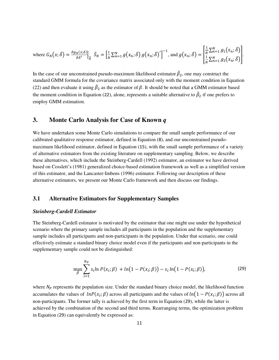where 
$$
G_N(x; \delta) = \frac{\partial g_N(x; \delta)}{\partial \delta'} \Big|_{\delta} \tilde{S}_N = \Big[\frac{1}{N} \sum_{n=1}^N g(x_n; \delta) g(x_n; \delta)'\Big]^{-1}
$$
, and  $g(x_n; \delta) = \Big[\frac{1}{N} \sum_{n=1}^N g_1(x_n; \delta)\Big] \Big]$ .

In the case of our unconstrained pseudo-maximum likelihood estimator  $\beta_2$ , one may construct the standard GMM formula for the covariance matrix associated only with the moment condition in Equation [\(22\)](#page-10-1) and then evaluate it using  $\beta_2$  as the estimator of  $\beta$ . It should be noted that a GMM estimator based the moment condition in Equation ([22](#page-10-1)), alone, represents a suitable alternative to  $\tilde{\beta}_2$  if one prefers to employ GMM estimation.

## **3. Monte Carlo Analysis for Case of Known** *q*

We have undertaken some Monte Carlo simulations to compare the small sample performance of our calibrated qualitative response estimator, defined in Equation ([8](#page-6-0)), and our unconstrained pseudomaximum likelihood estimator, defined in Equation ([15](#page-8-0)), with the small sample performance of a variety of alternative estimators from the existing literature on supplementary sampling. Below, we describe these alternatives, which include the Steinberg-Cardell (1992) estimator, an estimator we have derived based on Cosslett's (1981) generalized choice-based estimation framework as well as a simplified version of this estimator, and the Lancaster-Imbens (1996) estimator. Following our description of these alternative estimators, we present our Monte Carlo framework and then discuss our findings.

### **3.1 Alternative Estimators for Supplementary Samples**

#### *Steinberg-Cardell Estimator*

The Steinberg-Cardell estimator is motivated by the estimator that one might use under the hypothetical scenario where the primary sample includes all participants in the population and the supplementary sample includes all participants and non-participants in the population. Under that scenario, one could effectively estimate a standard binary choice model even if the participants and non-participants in the supplementary sample could not be distinguished:

<span id="page-12-0"></span>
$$
\max_{\beta} \sum_{i=1}^{N_P} s_i \ln P(x_i; \beta) + \ln(1 - P(x_i; \beta)) - s_i \ln(1 - P(x_i; \beta)),
$$
\n(29)

where  $N_p$  represents the population size. Under the standard binary choice model, the likelihood function accumulates the values of  $lnP(x_i; \beta)$  across all participants and the values of  $ln(1 - P(x_i; \beta))$  across all non-participants. The former tally is achieved by the first term in Equation ([29](#page-12-0)), while the latter is achieved by the combination of the second and third terms. Rearranging terms, the optimization problem in Equation ([29](#page-12-0)) can equivalently be expressed as: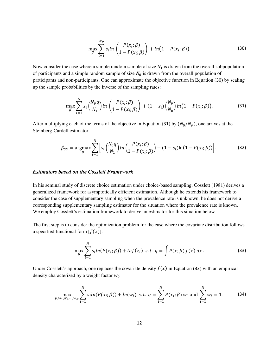<span id="page-13-1"></span><span id="page-13-0"></span>
$$
\max_{\beta} \sum_{i=1}^{N_P} s_i ln\left(\frac{P(x_i; \beta)}{1 - P(x_i; \beta)}\right) + ln\left(1 - P(x_i; \beta)\right).
$$
\n(30)

Now consider the case where a simple random sample of size  $N_1$  is drawn from the overall subpopulation of participants and a simple random sample of size  $N_0$  is drawn from the overall population of participants and non-participants. One can approximate the objective function in Equation ([30](#page-13-0)) by scaling up the sample probabilities by the inverse of the sampling rates:

$$
\max_{\beta} \sum_{i=1}^{N} s_i \left( \frac{N_P q}{N_1} \right) \ln \left( \frac{P(x_i; \beta)}{1 - P(x_i; \beta)} \right) + (1 - s_i) \left( \frac{N_P}{N_0} \right) \ln \left( 1 - P(x_i; \beta) \right).
$$
 (31)

After multiplying each of the terms of the objective in Equation ([31](#page-13-1)) by  $(N_0/N_P)$ , one arrives at the Steinberg-Cardell estimator:

<span id="page-13-4"></span>
$$
\tilde{\beta}_{SC} = \underset{\beta}{\text{argmax}} \sum_{i=1}^{N} \left[ s_i \left( \frac{N_0 q}{N_1} \right) \ln \left( \frac{P(x_i; \beta)}{1 - P(x_i; \beta)} \right) + (1 - s_i) \ln(1 - P(x_i; \beta)) \right]. \tag{32}
$$

#### *Estimators based on the Cosslett Framework*

In his seminal study of discrete choice estimation under choice-based sampling, Cosslett (1981) derives a generalized framework for asymptotically efficient estimation. Although he extends his framework to consider the case of supplementary sampling when the prevalence rate is unknown, he does not derive a corresponding supplementary sampling estimator for the situation where the prevalence rate is known. We employ Cosslett's estimation framework to derive an estimator for this situation below.

The first step is to consider the optimization problem for the case where the covariate distribution follows a specified functional form  $[f(x)]$ :

<span id="page-13-3"></span><span id="page-13-2"></span>
$$
\max_{\beta} \sum_{i=1}^{N} s_i ln(P(x_i; \beta)) + ln f(x_i) \ \text{ s.t. } q = \int P(x; \beta) f(x) \, dx \,. \tag{33}
$$

Under Cosslett's approach, one replaces the covariate density  $f(x)$  in Equation ([33](#page-13-2)) with an empirical density characterized by a weight factor  $w_i$ :

$$
\max_{\beta, w_1, w_2, \cdots, w_N} \sum_{i=1}^N s_i ln(P(x_i; \beta)) + ln(w_i) \text{ s.t. } q = \sum_{i=1}^N P(x_i; \beta) w_i \text{ and } \sum_{i=1}^N w_i = 1. \tag{34}
$$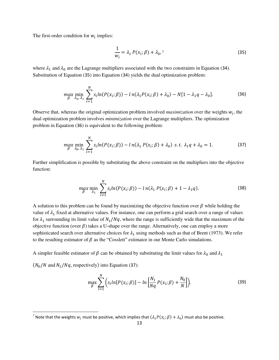The first-order condition for  $w_i$  implies:

$$
\frac{1}{w_i} = \lambda_1 P(x_i; \beta) + \lambda_0,^7
$$
\n(35)

where  $\lambda_1$  and  $\lambda_0$  are the Lagrange multipliers associated with the two constraints in Equation ([34](#page-13-3)). Substitution of Equation ([35](#page-14-0)) into Equation ([34](#page-13-3)) yields the dual optimization problem:

<span id="page-14-1"></span><span id="page-14-0"></span>
$$
\max_{\beta} \min_{\lambda_0, \lambda_1} \sum_{i=1}^N s_i \ln(P(x_i; \beta)) - \ln(\lambda_1 P(x_i; \beta) + \lambda_0) - N[1 - \lambda_1 q - \lambda_0].
$$
 (36)

Observe that, whereas the original optimization problem involved *maximization* over the weights  $w_i$ , the dual optimization problem involves *minimization* over the Lagrange multipliers. The optimization problem in Equation ([36](#page-14-1)) is equivalent to the following problem:

$$
\max_{\beta} \min_{\lambda_0, \lambda_1} \sum_{i=1}^N s_i \ln(P(x_i; \beta)) - \ln(\lambda_1 P(x_i; \beta) + \lambda_0) \text{ s.t. } \lambda_1 q + \lambda_0 = 1. \tag{37}
$$

Further simplification is possible by substituting the above constraint on the multipliers into the objective function:

<span id="page-14-3"></span><span id="page-14-2"></span>
$$
\max_{\beta} \min_{\lambda_1} \sum_{i=1}^N s_i \ln(P(x_i; \beta)) - \ln(\lambda_1 P(x_i; \beta) + 1 - \lambda_1 q). \tag{38}
$$

A solution to this problem can be found by maximizing the objective function over  $\beta$  while holding the value of  $\lambda_1$  fixed at alternative values. For instance, one can perform a grid search over a range of values for  $\lambda_1$  surrounding its limit value of  $N_1/Nq$ , where the range is sufficiently wide that the maximum of the objective function (over  $\beta$ ) takes a U-shape over the range. Alternatively, one can employ a more sophisticated search over alternative choices for  $\lambda_1$  using methods such as that of Brent (1973). We refer to the resulting estimator of  $\beta$  as the "Cosslett" estimator in our Monte Carlo simulations.

A simpler feasible estimator of  $\beta$  can be obtained by substituting the limit values for  $\lambda_0$  and  $\lambda_1$ 

 $(N_0/N$  and  $N_1/Nq$ , respectively) into Equation ([37](#page-14-2)):

<span id="page-14-4"></span>
$$
\max_{\beta} \sum_{i=1}^{N} \Big( s_i ln[P(x_i; \beta)] - ln \Big[ \frac{N_1}{Nq} P(x_i; \beta) + \frac{N_0}{N} \Big] \Big).
$$
 (39)

<sup>&</sup>lt;sup>7</sup> Note that the weights  $w_i$  must be positive, which implies that  $(\lambda_1 P(x_i; \beta) + \lambda_0)$  must also be positive.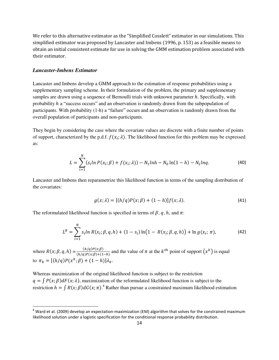We refer to this alternative estimator as the "Simplified Cosslett" estimator in our simulations. This simplified estimator was proposed by Lancaster and Imbens (1996, p. 153) as a feasible means to obtain an initial consistent estimate for use in solving the GMM estimation problem associated with their estimator.

#### *Lancaster-Imbens Estimator*

l

Lancaster and Imbens develop a GMM approach to the estimation of response probabilities using a supplementary sampling scheme. In their formulation of the problem, the primary and supplementary samples are drawn using a sequence of Bernoulli trials with unknown parameter  $h$ . Specifically, with probability  $h$  a "success occurs" and an observation is randomly drawn from the subpopulation of participants. With probability (1-h) a "failure" occurs and an observation is randomly drawn from the overall population of participants and non-participants.

They begin by considering the case where the covariate values are discrete with a finite number of points of support, characterized by the p.d.f.  $f(x_i; \lambda)$ . The likelihood function for this problem may be expressed as:

$$
L = \sum_{i=1}^{N} (s_i \ln P(x_i; \beta) + f(x_i; \lambda)) - N_1 \ln h - N_0 \ln(1 - h) - N_1 \ln q.
$$
 (40)

Lancaster and Imbens then reparametrize this likelihood function in terms of the sampling distribution of the covariates:

$$
g(x; \lambda) = [(h/q)P(x; \beta) + (1-h)]f(x; \lambda).
$$
 (41)

The reformulated likelihood function is specified in terms of  $\beta$ ,  $q$ ,  $h$ , and  $\pi$ :

<span id="page-15-0"></span>
$$
L^{R} = \sum_{i=1}^{N} s_{i} \ln R(x_{i}; \beta, q, h) + (1 - s_{i}) \ln(1 - R(x_{i}; \beta, q, h)) + \ln g(x_{i}; \pi), \tag{42}
$$

where  $R(x; \beta, q, h) = \frac{(h/q)P(x;\beta)}{(h/q)P(x;\beta)+(1)}$  $\frac{(h/q)r(x,p)}{(h/q)p(x;\beta)+(1-h)}$  and the value of  $\pi$  at the  $k^{th}$  point of support  $(x^k)$  is equal to  $\pi_k = [(h/q)P(x^k; \beta) + (1-h)]\lambda_k$ .

Whereas maximization of the original likelihood function is subject to the restriction  $q = \int P(x; \beta) dF(x; \lambda)$ , maximization of the reformulated likelihood function is subject to the restriction  $h = \int R(x; \beta) dG(x; \pi)$ .<sup>8</sup> Rather than pursue a constrained maximum likelihood estimation

 $^8$  Ward et al. (2009) develop an expectation-maximization (EM) algorithm that solves for the constrained maximum likelihood solution under a logistic specification for the conditional response probability distribution.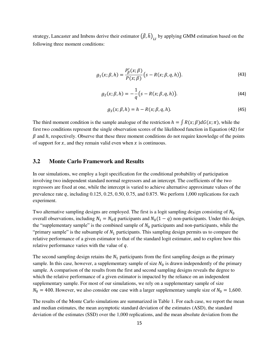strategy, Lancaster and Imbens derive their estimator  $(\hat{\beta}, \hat{h})_{LI}$  by applying GMM estimation based on the following three moment conditions:

$$
g_1(x; \beta, h) = \frac{P'_\beta(x; \beta)}{P(x; \beta)} \big(s - R(x; \beta, q, h)\big).
$$
 (43)

<span id="page-16-1"></span><span id="page-16-0"></span>
$$
g_2(x; \beta, h) = -\frac{1}{q} (s - R(x; \beta, q, h)).
$$
\n(44)

$$
g_3(x; \beta, h) = h - R(x; \beta, q, h). \tag{45}
$$

The third moment condition is the sample analogue of the restriction  $h = \int R(x;\beta) dG(x;\pi)$ , while the first two conditions represent the single observation scores of the likelihood function in Equation ([42](#page-15-0)) for  $\beta$  and  $h$ , respectively. Observe that these three moment conditions do not require knowledge of the points of support for  $x$ , and they remain valid even when  $x$  is continuous.

### **3.2 Monte Carlo Framework and Results**

In our simulations, we employ a logit specification for the conditional probability of participation involving two independent standard normal regressors and an intercept. The coefficients of the two regressors are fixed at one, while the intercept is varied to achieve alternative approximate values of the prevalence rate  $q$ , including 0.125, 0.25, 0.50, 0.75, and 0.875. We perform 1,000 replications for each experiment.

Two alternative sampling designs are employed. The first is a logit sampling design consisting of  $N_0$ overall observations, including  $N_1 = N_0 q$  participants and  $N_0(1 - q)$  non-participants. Under this design, the "supplementary sample" is the combined sample of  $N_0$  participants and non-participants, while the "primary sample" is the subsample of  $N_1$  participants. This sampling design permits us to compare the relative performance of a given estimator to that of the standard logit estimator, and to explore how this relative performance varies with the value of  $q$ .

The second sampling design retains the  $N_1$  participants from the first sampling design as the primary sample. In this case, however, a supplementary sample of size  $N_0$  is drawn independently of the primary sample. A comparison of the results from the first and second sampling designs reveals the degree to which the relative performance of a given estimator is impacted by the reliance on an independent supplementary sample. For most of our simulations, we rely on a supplementary sample of size  $N_0 = 400$ . However, we also consider one case with a larger supplementary sample size of  $N_0 = 1,600$ .

The results of the Monte Carlo simulations are summarized in Table 1. For each case, we report the mean and median estimates, the mean asymptotic standard deviation of the estimates (ASD), the standard deviation of the estimates (SSD) over the 1,000 replications, and the mean absolute deviation from the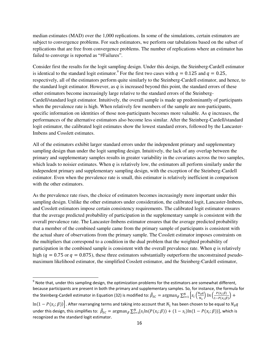median estimates (MAD) over the 1,000 replications. In some of the simulations, certain estimators are subject to convergence problems. For such estimators, we perform our tabulations based on the subset of replications that are free from convergence problems. The number of replications where an estimator has failed to converge is reported as "#Failures".

Consider first the results for the logit sampling design. Under this design, the Steinberg-Cardell estimator is identical to the standard logit estimator.<sup>9</sup> For the first two cases with  $q = 0.125$  and  $q = 0.25$ , respectively, all of the estimators perform quite similarly to the Steinberg-Cardell estimator, and hence, to the standard logit estimator. However, as  $q$  is increased beyond this point, the standard errors of these other estimators become increasingly large relative to the standard errors of the Steinberg-Cardell/standard logit estimator. Intuitively, the overall sample is made up predominantly of participants when the prevalence rate is high. When relatively few members of the sample are non-participants, specific information on identities of those non-participants becomes more valuable. As  $q$  increases, the performances of the alternative estimators also become less similar. After the Steinberg-Cardell/standard logit estimator, the calibrated logit estimates show the lowest standard errors, followed by the Lancaster-Imbens and Cosslett estimates.

All of the estimators exhibit larger standard errors under the independent primary and supplementary sampling design than under the logit sampling design. Intuitively, the lack of any overlap between the primary and supplementary samples results in greater variability in the covariates across the two samples, which leads to noisier estimates. When  $q$  is relatively low, the estimators all perform similarly under the independent primary and supplementary sampling design, with the exception of the Steinberg-Cardell estimator. Even when the prevalence rate is small, this estimator is relatively inefficient in comparison with the other estimators.

As the prevalence rate rises, the choice of estimators becomes increasingly more important under this sampling design. Unlike the other estimators under consideration, the calibrated logit, Lancaster-Imbens, and Cosslett estimators impose certain consistency requirements. The calibrated logit estimator ensures that the average predicted probability of participation in the supplementary sample is consistent with the overall prevalence rate. The Lancaster-Imbens estimator ensures that the average predicted probability that a member of the combined sample came from the primary sample of participants is consistent with the actual share of observations from the primary sample. The Cosslett estimator imposes constraints on the multipliers that correspond to a condition in the dual problem that the weighted probability of participation in the combined sample is consistent with the overall prevalence rate. When  $q$  is relatively high ( $q = 0.75$  or  $q = 0.875$ ), these three estimators substantially outperform the unconstrained pseudomaximum likelihood estimator, the simplified Cosslett estimator, and the Steinberg-Cardell estimator,

 $\overline{a}$ 

 $^9$  Note that, under this sampling design, the optimization problems for the estimators are somewhat different, because participants are present in both the primary and supplementary samples. So, for instance, the formula for the Steinberg-Cardell estimator in Equation [\(32\)](#page-13-4) is modified to:  $\tilde{\beta}_{SC}=\argmax_{\beta}\sum_{i=1}^N\left[s_i\left(\frac{N_0q}{N_1}\right)\right]$  $\binom{N_0 q}{N_1}$   $\ln \left( \frac{P(x_i;\beta)}{1-P(x_i;\beta)} \right)$  $\int_{i=1}^{N} \left[ S_i \left( \frac{N_0 q}{N_1} \right) \ln \left( \frac{F(x_i, p)}{1 - P(x_i; \beta)} \right) + \right]$ 

 $\ln(1-P(x_i;\beta))\big]$  . After rearranging terms and taking into account that  $N_1$  has been chosen to be equal to  $N_0q$ under this design, this simplifies to:  $\bar{\beta}_{SC} = \text{argmax}_{\beta} \sum_{i=1}^{N} [s_i \ln(P(x_i; \beta)) + (1 - s_i) \ln(1 - P(x_i; \beta))]$ , which is recognized as the standard logit estimator.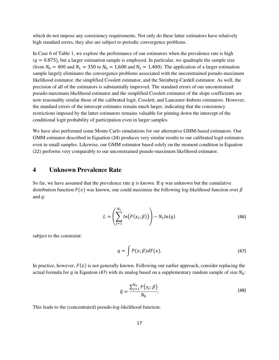which do not impose any consistency requirements. Not only do these latter estimators have relatively high standard errors, they also are subject to periodic convergence problems.

In Case 6 of Table 1, we explore the performance of our estimators when the prevalence rate is high  $(q = 0.875)$ , but a larger estimation sample is employed. In particular, we quadruple the sample size (from  $N_0 = 400$  and  $N_1 = 350$  to  $N_0 = 1,600$  and  $N_1 = 1,400$ ). The application of a larger estimation sample largely eliminates the convergence problems associated with the unconstrained pseudo-maximum likelihood estimator, the simplified Cosslett estimator, and the Steinberg-Cardell estimator. As well, the precision of all of the estimators is substantially improved. The standard errors of our unconstrained pseudo-maximum likelihood estimator and the simplified Cosslett estimator of the slope coefficients are now reasonably similar those of the calibrated logit, Cosslett, and Lancaster-Imbens estimators. However, the standard errors of the intercept estimates remain much larger, indicating that the consistency restrictions imposed by the latter estimators remains valuable for pinning down the intercept of the conditional logit probability of participation even in larger samples.

We have also performed some Monte Carlo simulations for our alternative GMM-based estimators. Our GMM estimator described in Equation ([24](#page-11-2)) produces very similar results to our calibrated logit estimator, even in small samples. Likewise, our GMM estimator based solely on the moment condition in Equation ([22](#page-10-1)) performs very comparably to our unconstrained pseudo-maximum likelihood estimator.

## **4 Unknown Prevalence Rate**

So far, we have assumed that the prevalence rate q is known. If q was unknown but the cumulative distribution function  $F(x)$  was known, one could maximize the following log-likelihood function over  $\beta$ and  $q$ :

$$
L = \left(\sum_{i=1}^{N_1} ln(P(x_i; \beta))\right) - N_1 ln(q)
$$
\n(46)

subject to the constraint:

<span id="page-18-0"></span>
$$
q = \int P(x;\beta)dF(x). \tag{47}
$$

In practice, however,  $F(x)$  is not generally known. Following our earlier approach, consider replacing the actual formula for q in Equation ([47](#page-18-0)) with its analog based on a supplementary random sample of size  $N_0$ :

$$
\tilde{q} = \frac{\sum_{j=1}^{N_0} P(x_j; \beta)}{N_0}.
$$
\n(48)

This leads to the (concentrated) pseudo-log-likelihood function: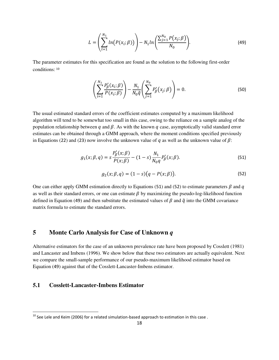<span id="page-19-2"></span>
$$
L = \left(\sum_{l=1}^{N_1} ln(P(x_i; \beta))\right) - N_1 ln\left(\frac{\sum_{j=1}^{N_0} P(x_j; \beta)}{N_0}\right).
$$
 (49)

The parameter estimates for this specification are found as the solution to the following first-order conditions: <sup>10</sup>

$$
\left(\sum_{i=1}^{N_1} \frac{P'_\beta(x_i;\beta)}{P(x_i;\beta)}\right) - \frac{N_1}{N_0 \tilde{q}} \left(\sum_{j=1}^{N_0} P'_\beta(x_j;\beta)\right) = 0.
$$
\n(50)

The usual estimated standard errors of the coefficient estimates computed by a maximum likelihood algorithm will tend to be somewhat too small in this case, owing to the reliance on a sample analog of the population relationship between q and  $\beta$ . As with the known q case, asymptotically valid standard error estimates can be obtained through a GMM approach, where the moment conditions specified previously in Equations ([22](#page-10-1)) and ([23](#page-11-1)) now involve the unknown value of q as well as the unknown value of  $\beta$ :

<span id="page-19-1"></span><span id="page-19-0"></span>
$$
g_1(x; \beta, q) = s \frac{P'_\beta(x; \beta)}{P(x; \beta)} - (1 - s) \frac{N_1}{N_0 q} P'_\beta(x; \beta).
$$
 (51)

$$
g_2(x; \beta, q) = (1 - s)(q - P(x; \beta)).
$$
\n(52)

One can either apply GMM estimation directly to Equations ([51](#page-19-0)) and ([52](#page-19-1)) to estimate parameters  $\beta$  and q as well as their standard errors, or one can estimate  $\beta$  by maximizing the pseudo-log-likelihood function defined in Equation ([49](#page-19-2)) and then substitute the estimated values of  $\beta$  and  $\tilde{q}$  into the GMM covariance matrix formula to estimate the standard errors.

## **5 Monte Carlo Analysis for Case of Unknown** *q*

Alternative estimators for the case of an unknown prevalence rate have been proposed by Cosslett (1981) and Lancaster and Imbens (1996). We show below that these two estimators are actually equivalent. Next we compare the small-sample performance of our pseudo-maximum likelihood estimator based on Equation ([49](#page-19-2)) against that of the Cosslett-Lancaster-Imbens estimator.

## **5.1 Cosslett-Lancaster-Imbens Estimator**

 $\overline{\phantom{0}}$ 

 $^{10}$  See Lele and Keim (2006) for a related simulation-based approach to estimation in this case .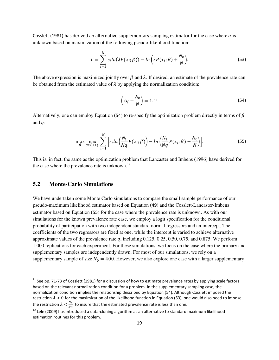Cosslett (1981) has derived an alternative supplementary sampling estimator for the case where  $q$  is unknown based on maximization of the following pseudo-likelihood function:

<span id="page-20-2"></span><span id="page-20-0"></span>
$$
L = \sum_{i=1}^{N} s_i ln(\lambda P(x_i; \beta)) - ln(\lambda P(x_i; \beta) + \frac{N_0}{N}).
$$
\n(53)

The above expression is maximized jointly over  $\beta$  and  $\lambda$ . If desired, an estimate of the prevalence rate can be obtained from the estimated value of  $\lambda$  by applying the normalization condition:

$$
\left(\lambda q + \frac{N_0}{N}\right) = 1.11\tag{54}
$$

Alternatively, one can employ Equation ([54](#page-20-0)) to re-specify the optimization problem directly in terms of  $\beta$ and  $q$ :

<span id="page-20-1"></span>
$$
\max_{\beta} \max_{q \in (0,1)} \sum_{i=1}^{N} \Big[ s_i ln \Big( \frac{N_1}{Nq} P(x_i; \beta) \Big) - ln \Big( \frac{N_1}{Nq} P(x_i; \beta) + \frac{N_0}{N} \Big) \Big].
$$
 (55)

This is, in fact, the same as the optimization problem that Lancaster and Imbens (1996) have derived for the case where the prevalence rate is unknown.<sup>12</sup>

#### **5.2 Monte-Carlo Simulations**

 $\overline{\phantom{0}}$ 

We have undertaken some Monte Carlo simulations to compare the small sample performance of our pseudo-maximum likelihood estimator based on Equation ([49](#page-19-2)) and the Cosslett-Lancaster-Imbens estimator based on Equation ([55](#page-20-1)) for the case where the prevalence rate is unknown. As with our simulations for the known prevalence rate case, we employ a logit specification for the conditional probability of participation with two independent standard normal regressors and an intercept. The coefficients of the two regressors are fixed at one, while the intercept is varied to achieve alternative approximate values of the prevalence rate q, including  $0.125, 0.25, 0.50, 0.75$ , and  $0.875$ . We perform 1,000 replications for each experiment. For these simulations, we focus on the case where the primary and supplementary samples are independently drawn. For most of our simulations, we rely on a supplementary sample of size  $N_0 = 400$ . However, we also explore one case with a larger supplementary

 $11$  See pp. 71-73 of Cosslett (1981) for a discussion of how to estimate prevalence rates by applying scale factors based on the relevant normalization condition for a problem. In the supplementary sampling case, the normalization condition implies the relationship described by Equation [\(54\)](#page-20-0). Although Cosslett imposed the restriction  $\lambda > 0$  for the maximization of the likelihood function in Equation [\(53\)](#page-20-2), one would also need to impose the restriction  $\lambda < \frac{N_1}{Nq}$  to insure that the estimated prevalence rate is less than one.

 $12$  Lele (2009) has introduced a data-cloning algorithm as an alternative to standard maximum likelihood estimation routines for this problem.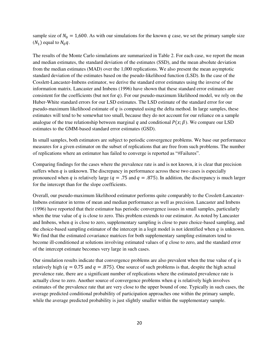sample size of  $N_0 = 1,600$ . As with our simulations for the known q case, we set the primary sample size  $(N_1)$  equal to  $N_0q$ .

The results of the Monte Carlo simulations are summarized in Table 2. For each case, we report the mean and median estimates, the standard deviation of the estimates (SSD), and the mean absolute deviation from the median estimates (MAD) over the 1,000 replications. We also present the mean asymptotic standard deviation of the estimates based on the pseudo-likelihood function (LSD). In the case of the Cosslett-Lancaster-Imbens estimator, we derive the standard error estimates using the inverse of the information matrix. Lancaster and Imbens (1996) have shown that these standard error estimates are consistent for the coefficients (but not for q). For our pseudo-maximum likelihood model, we rely on the Huber-White standard errors for our LSD estimates. The LSD estimate of the standard error for our pseudo-maximum likelihood estimate of  $q$  is computed using the delta method. In large samples, these estimates will tend to be somewhat too small, because they do not account for our reliance on a sample analogue of the true relationship between marginal q and conditional  $P(x; \beta)$ . We compare our LSD estimates to the GMM-based standard error estimates (GSD).

In small samples, both estimators are subject to periodic convergence problems. We base our performance measures for a given estimator on the subset of replications that are free from such problems. The number of replications where an estimator has failed to converge is reported as "#Failures".

Comparing findings for the cases where the prevalence rate is and is not known, it is clear that precision suffers when  $q$  is unknown. The discrepancy in performance across these two cases is especially pronounced when q is relatively large ( $q = .75$  and  $q = .875$ ). In addition, the discrepancy is much larger for the intercept than for the slope coefficients.

Overall, our pseudo-maximum likelihood estimator performs quite comparably to the Cosslett-Lancaster-Imbens estimator in terms of mean and median performance as well as precision. Lancaster and Imbens (1996) have reported that their estimator has periodic convergence issues in small samples, particularly when the true value of  $q$  is close to zero. This problem extends to our estimator. As noted by Lancaster and Imbens, when  $q$  is close to zero, supplementary sampling is close to pure choice-based sampling, and the choice-based sampling estimator of the intercept in a logit model is not identified when  $q$  is unknown. We find that the estimated covariance matrices for both supplementary sampling estimators tend to become ill-conditioned at solutions involving estimated values of  $q$  close to zero, and the standard error of the intercept estimate becomes very large in such cases.

Our simulation results indicate that convergence problems are also prevalent when the true value of  $q$  is relatively high ( $q = 0.75$  and  $q = .875$ ). One source of such problems is that, despite the high actual prevalence rate, there are a significant number of replications where the estimated prevalence rate is actually close to zero. Another source of convergence problems when  $q$  is relatively high involves estimates of the prevalence rate that are very close to the upper bound of one. Typically in such cases, the average predicted conditional probability of participation approaches one within the primary sample, while the average predicted probability is just slightly smaller within the supplementary sample.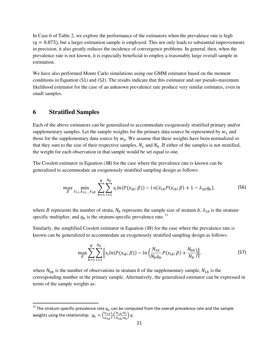In Case 6 of Table 2, we explore the performance of the estimators when the prevalence rate is high  $(q = 0.875)$ , but a larger estimation sample is employed. This not only leads to substantial improvements in precision, it also greatly reduces the incidence of convergence problems. In general, then, when the prevalence rate is not known, it is especially beneficial to employ a reasonably large overall sample in estimation.

We have also performed Monte Carlo simulations using our GMM estimator based on the moment conditions in Equation ([51](#page-19-0)) and ([52](#page-19-1)). The results indicate that this estimator and our pseudo-maximum likelihood estimator for the case of an unknown prevalence rate produce very similar estimates, even in small samples.

## **6 Stratified Samples**

 $\overline{a}$ 

Each of the above estimators can be generalized to accommodate exogenously stratified primary and/or supplementary samples. Let the sample weights for the primary data source be represented by  $w_1$  and those for the supplementary data source by  $w_0$ . We assume that these weights have been normalized so that they sum to the size of their respective samples,  $N_1$  and  $N_0$ . If either of the samples is not stratified, the weight for each observation in that sample would be set equal to one.

The Cosslett estimator in Equation ([38\)](#page-14-3) for the case where the prevalence rate is known can be generalized to accommodate an exogenously stratified sampling design as follows:

$$
\max_{\beta} \min_{\lambda_{11}, \lambda_{12,\dots,\lambda_{1B}}} \sum_{b=1}^{B} \sum_{i=1}^{N_b} s_i \ln(P(x_{ib}; \beta)) - \ln(\lambda_{1b} P(x_{ib}; \beta) + 1 - \lambda_{1b} q_b), \tag{56}
$$

where *B* represents the number of strata,  $N_b$  represents the sample size of stratum  $b$ ,  $\lambda_{1b}$  is the stratumspecific multiplier, and  $q_b$  is the stratum-specific prevalence rate.<sup>13</sup>

Similarly, the simplified Cosslett estimator in Equation ([39](#page-14-4)) for the case where the prevalence rate is known can be generalized to accommodate an exogenously stratified sampling design as follows:

<span id="page-22-0"></span>
$$
\max_{\beta} \sum_{b=1}^{B} \sum_{i=1}^{N_b} \left[ s_i ln(P(x_{ib}; \beta)) - ln \left( \frac{N_{1b}}{N_b q_b} P(x_{ib}; \beta) + \frac{N_{0b}}{N_b} \right) \right],
$$
\n(57)

where  $N_{0b}$  is the number of observations in stratum *b* of the supplementary sample,  $N_{1b}$  is the corresponding number in the primary sample. Alternatively, the generalized estimator can be expressed in terms of the sample weights as:

<sup>&</sup>lt;sup>13</sup> The stratum-specific prevalence rate  $q_b$  can be computed from the overall prevalence rate and the sample weights using the relationship:  $q_b = \left(\frac{w_{1b}}{w_{0b}}\right) \left(\frac{N_{1b}/N_1}{N_{0b}/N_0}\right) q$ .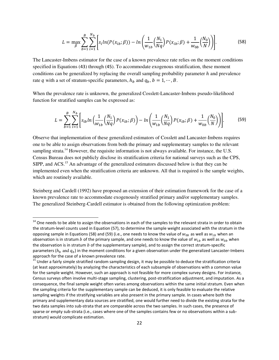<span id="page-23-0"></span>
$$
L = \max_{\beta} \sum_{b=1}^{B} \sum_{i=1}^{N_b} \left[ s_i ln(P(x_{ib}; \beta)) - ln \left( \frac{1}{w_{1b}} \left( \frac{N_1}{Nq} \right) P(x_{ib}; \beta) + \frac{1}{w_{0b}} \left( \frac{N_0}{N} \right) \right) \right].
$$
 (58)

The Lancaster-Imbens estimator for the case of a known prevalence rate relies on the moment conditions specified in Equations ([43](#page-16-0)) through ([45](#page-16-1)). To accommodate exogenous stratification, these moment conditions can be generalized by replacing the overall sampling probability parameter  $h$  and prevalence rate q with a set of stratum-specific parameters,  $h_b$  and  $q_b$ ,  $b = 1, \dots, B$ .

When the prevalence rate is unknown, the generalized Cosslett-Lancaster-Imbens pseudo-likelihood function for stratified samples can be expressed as:

<span id="page-23-1"></span>
$$
L = \sum_{b=1}^{B} \sum_{i=1}^{N_b} \left[ s_{ib} ln \left( \frac{1}{w_{1b}} \left( \frac{N_1}{Nq} \right) P(x_{ib}; \beta) \right) - ln \left( \frac{1}{w_{1b}} \left( \frac{N_1}{Nq} \right) P(x_{ib}; \beta) + \frac{1}{w_{0b}} \left( \frac{N_0}{N} \right) \right) \right].
$$
 (59)

Observe that implementation of these generalized estimators of Cosslett and Lancaster-Imbens requires one to be able to assign observations from both the primary and supplementary samples to the relevant sampling strata.<sup>14</sup> However, the requisite information is not always available. For instance, the U.S. Census Bureau does not publicly disclose its stratification criteria for national surveys such as the CPS, SIPP, and ACS.<sup>15</sup> An advantage of the generalized estimators discussed below is that they can be implemented even when the stratification criteria are unknown. All that is required is the sample weights, which are routinely available.

Steinberg and Cardell (1992) have proposed an extension of their estimation framework for the case of a known prevalence rate to accommodate exogenously stratified primary and/or supplementary samples. The generalized Steinberg-Cardell estimator is obtained from the following optimization problem:

l

<sup>&</sup>lt;sup>14</sup> One needs to be able to assign the observations in each of the samples to the relevant strata in order to obtain the stratum-level counts used in Equation [\(57\),](#page-22-0) to determine the sample weight associated with the stratum in the opposing sample in Equations [\(58\)](#page-23-0) and [\(59\)](#page-23-1) (i.e., one needs to know the value of  $w_{0b}$  as well as  $w_{1b}$  when an observation is in stratum *b* of the primary sample, and one needs to know the value of  $w_{1b}$  as well as  $w_{0b}$  when the observation is in stratum  $b$  of the supplementary sample), and to assign the correct stratum-specific parameters  $(h_b, \text{and } q_b)$  in the moment conditions for a given observation under the generalized Lancaster-Imbens approach for the case of a known prevalence rate.

<sup>&</sup>lt;sup>15</sup> Under a fairly simple stratified random sampling design, it may be possible to deduce the stratification criteria (at least approximately) by analyzing the characteristics of each subsample of observations with a common value for the sample weight. However, such an approach is not feasible for more complex survey designs. For instance, Census surveys often involve multi-stage sampling, clustering, post-stratification adjustment, and imputation. As a consequence, the final sample weight often varies among observations within the same initial stratum. Even when the sampling criteria for the supplementary sample can be deduced, it is only feasible to evaluate the relative sampling weights if the stratifying variables are also present in the primary sample. In cases where both the primary and supplementary data sources are stratified, one would further need to divide the existing strata for the two data samples into sub-strata that are comparable across the two samples. In such cases, the presence of sparse or empty sub-strata (i.e., cases where one of the samples contains few or no observations within a substratum) would complicate estimation.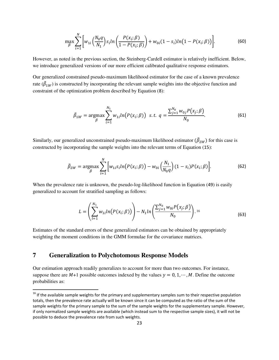$$
\max_{\beta} \sum_{i=1}^{N} \left[ w_{1i} \left( \frac{N_0 q}{N_1} \right) s_i ln \left( \frac{P(x_i; \beta)}{1 - P(x_i; \beta)} \right) + w_{0i} (1 - s_i) ln (1 - P(x_i; \beta)) \right].
$$
 (60)

However, as noted in the previous section, the Steinberg-Cardell estimator is relatively inefficient. Below, we introduce generalized versions of our more efficient calibrated qualitative response estimators.

Our generalized constrained pseudo-maximum likelihood estimator for the case of a known prevalence rate  $(\hat{\beta}_{1W})$  is constructed by incorporating the relevant sample weights into the objective function and constraint of the optimization problem described by Equation ([8](#page-6-0)):

$$
\tilde{\beta}_{1W} = \underset{\beta}{\text{argmax}} \sum_{i=1}^{N_1} w_{1i} ln(P(x_i; \beta)) \ \ s.t. \ \ q = \frac{\sum_{j=1}^{N_0} w_{0j} P(x_j; \beta)}{N_0}.
$$
 (61)

Similarly, our generalized unconstrained pseudo-maximum likelihood estimator  $(\beta_{2W})$  for this case is constructed by incorporating the sample weights into the relevant terms of Equation ([15](#page-8-0)):

$$
\tilde{\beta}_{2W} = \underset{\beta}{\text{argmax}} \sum_{i=1}^{N} \Big[ w_{1i} s_i ln\big(P(x_i; \beta)\big) - w_{0i} \Big(\frac{N_1}{N_0 q}\Big) (1 - s_i) P(x_i; \beta) \Big]. \tag{62}
$$

When the prevalence rate is unknown, the pseudo-log-likelihood function in Equation ([49](#page-19-2)) is easily generalized to account for stratified sampling as follows:

$$
L = \left(\sum_{l=1}^{N_1} w_{1l} ln(P(x_i; \beta))\right) - N_1 ln\left(\frac{\sum_{j=1}^{N_0} w_{0i} P(x_j; \beta)}{N_0}\right).
$$
<sup>16</sup> (63)

Estimates of the standard errors of these generalized estimators can be obtained by appropriately weighting the moment conditions in the GMM formulae for the covariance matrices.

## **7 Generalization to Polychotomous Response Models**

 $\overline{a}$ 

Our estimation approach readily generalizes to account for more than two outcomes. For instance, suppose there are  $M+1$  possible outcomes indexed by the values  $y = 0, 1, \dots, M$ . Define the outcome probabilities as:

<sup>&</sup>lt;sup>16</sup> If the available sample weights for the primary and supplementary samples sum to their respective population totals, then the prevalence rate actually will be known since it can be computed as the ratio of the sum of the sample weights for the primary sample to the sum of the sample weights for the supplementary sample. However, if only normalized sample weights are available (which instead sum to the respective sample sizes), it will not be possible to deduce the prevalence rate from such weights.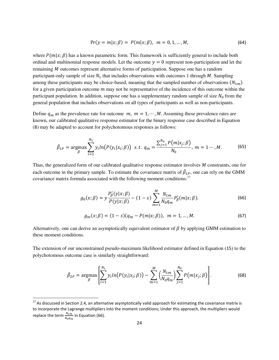$$
Pr(y = m|x; \beta) = P(m|x; \beta), \ m = 0, 1, ..., M,
$$
 (64)

where  $P(m|x; \beta)$  has a known parametric form. This framework is sufficiently general to include both ordinal and multinomial response models. Let the outcome  $y = 0$  represent non-participation and let the remaining  $M$  outcomes represent alternative forms of participation. Suppose one has a random participant-only sample of size  $N_1$  that includes observations with outcomes 1 through M. Sampling among these participants may be choice-based, meaning that the sampled number of observations  $(N_{1m})$ for a given participation outcome  $m$  may not be representative of the incidence of this outcome within the participant population. In addition, suppose one has a supplementary random sample of size  $N_0$  from the general population that includes observations on all types of participants as well as non-participants.

Define  $q_m$  as the prevalence rate for outcome  $m$ ,  $m = 1, \dots, M$ . Assuming these prevalence rates are known, our calibrated qualitative response estimator for the binary response case described in Equation ([8](#page-6-0)) may be adapted to account for polychotomous responses as follows:

$$
\tilde{\beta}_{1P} = \underset{\beta}{\text{argmax}} \sum_{i=1}^{N_1} y_i ln(P(y_i|x_i; \beta)) \ \text{ s.t. } q_m = \frac{\sum_{j=1}^{N_0} P(m|x_j; \beta)}{N_0}, \ m = 1 \cdots, M. \tag{65}
$$

Thus, the generalized form of our calibrated qualitative response estimator involves  $M$  constraints, one for each outcome in the primary sample. To estimate the covariance matrix of  $\beta_{1P}$ , one can rely on the GMM covariance matrix formula associated with the following moment conditions:<sup>17</sup>

<span id="page-25-2"></span><span id="page-25-1"></span><span id="page-25-0"></span>
$$
g_0(x;\beta) = y \frac{P'_\beta(y|x;\beta)}{P(y|x;\beta)} - (1-s) \sum_{m=1}^M \frac{N_{1m}}{N_0 q_m} P'_\beta(m|x;\beta). \tag{66}
$$

$$
g_m(x;\beta) = (1-s)(q_m - P(m|x;\beta)), \ \ m = 1, \dots, M. \tag{67}
$$

Alternatively, one can derive an asymptotically equivalent estimator of  $\beta$  by applying GMM estimation to these moment conditions.

The extension of our unconstrained pseudo-maximum likelihood estimator defined in Equation ([15](#page-8-0)) to the polychotomous outcome case is similarly straightforward:

$$
\tilde{\beta}_{2P} = \underset{\beta}{\text{argmax}} \left[ \sum_{i=1}^{N_1} y_i ln(P(y_i | x_i; \beta)) - \sum_{m=1}^{M} \left( \frac{N_{1m}}{N_0 q_m} \right) \sum_{j=1}^{N_0} P(m | x_j; \beta) \right]. \tag{68}
$$

l

 $17$  As discussed in Section 2.4, an alternative asymptotically valid approach for estimating the covariance matrix is to incorporate the Lagrange multipliers into the moment conditions; Under this approach, the multipliers would replace the term  $\frac{N_{1}m}{N_{0}q_{m}}$  in Equation [\(66\)](#page-25-0).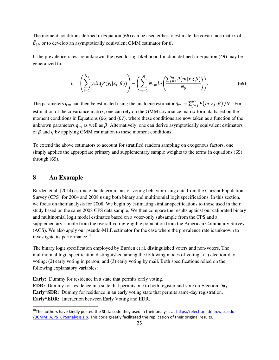The moment conditions defined in Equation ([66](#page-25-0)) can be used either to estimate the covariance matrix of  $\beta_{2P}$  or to develop an asymptotically equivalent GMM estimator for  $\beta$ .

If the prevalence rates are unknown, the pseudo-log-likelihood function defined in Equation ([49](#page-19-2)) may be generalized to:

<span id="page-26-0"></span>
$$
L = \left(\sum_{i=1}^{N_1} y_i ln(P(y_i|x_i; \beta))\right) - \left(\sum_{m=1}^{M} N_{1m} ln\left(\frac{\sum_{j=1}^{N_0} P(m|x_j; \beta)}{N_0}\right)\right).
$$
(69)

The parameters  $q_m$  can then be estimated using the analogue estimator  $\tilde{q}_m = \sum_{j=1}^{N_0} P(m|x_j; \tilde{\beta})/N_0$ . For estimation of the covariance matrix, one can rely on the GMM covariance matrix formula based on the moment conditions in Equations ([66](#page-25-0)) and ([67](#page-25-1)), where these conditions are now taken as a function of the unknown parameters  $q_m$  as well as  $\beta$ . Alternatively, one can derive asymptotically equivalent estimators of  $\beta$  and  $q$  by applying GMM estimation to these moment conditions.

To extend the above estimators to account for stratified random sampling on exogenous factors, one simply applies the appropriate primary and supplementary sample weights to the terms in equations ([65](#page-25-2)) through ([69](#page-26-0)).

## **8 An Example**

l

Burden et al. (2014) estimate the determinants of voting behavior using data from the Current Population Survey (CPS) for 2004 and 2008 using both binary and multinomial logit specifications. In this section, we focus on their analysis for 2008. We begin by estimating similar specifications to those used in their study based on the same 2008 CPS data sample. We then compare the results against our calibrated binary and multinomial logit model estimates based on a voter-only subsample from the CPS and a supplementary sample from the overall voting-eligible population from the American Community Survey (ACS). We also apply our pseudo-MLE estimator for the case where the prevalence rate is unknown to investigate its performance.<sup>18</sup>

The binary logit specification employed by Burden et al. distinguished voters and non-voters. The multinomial logit specification distinguished among the following modes of voting: (1) election-day voting; (2) early voting in person; and (3) early voting by mail. Both specifications relied on the following explanatory variables:

**Early:** Dummy for residence in a state that permits early voting. **EDR:** Dummy for residence in a state that permits one to both register and vote on Election Day. **Early\*SDR:** Dummy for residence in an early voting state that permits same-day registration. **Early\*EDR:** Interaction between Early Voting and EDR.

<sup>&</sup>lt;sup>18</sup>The authors have kindly posted the Stata code they used in their analysis at https://electionadmin.wisc.edu [/BCMM\\_AJPS\\_CPSanalysis.zip.](https://electionadmin.wisc.edu/BCMM_AJPS_CPSanalysis.zip) This code greatly facilitated the replication of their original results.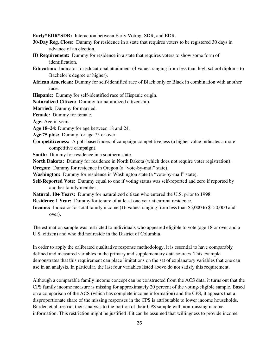**Early\*EDR\*SDR:** Interaction between Early Voting, SDR, and EDR.

- **30-Day Reg. Close:** Dummy for residence in a state that requires voters to be registered 30 days in advance of an election.
- **ID Requirement:** Dummy for residence in a state that requires voters to show some form of identification.
- **Education:** Indicator for educational attainment (4 values ranging from less than high school diploma to Bachelor's degree or higher).
- **African American:** Dummy for self-identified race of Black only or Black in combination with another race.

**Hispanic:** Dummy for self-identified race of Hispanic origin.

**Naturalized Citizen:** Dummy for naturalized citizenship.

**Married:** Dummy for married.

**Female:** Dummy for female.

**Age:** Age in years.

- **Age 18–24:** Dummy for age between 18 and 24.
- **Age 75 plus:** Dummy for age 75 or over.
- **Competitiveness:** A poll-based index of campaign competitiveness (a higher value indicates a more competitive campaign).
- **South:** Dummy for residence in a southern state.
- **North Dakota:** Dummy for residence in North Dakota (which does not require voter registration).

**Oregon:** Dummy for residence in Oregon (a "vote-by-mail" state).

**Washington:** Dummy for residence in Washington state (a "vote-by-mail" state).

- **Self-Reported Vote:** Dummy equal to one if voting status was self-reported and zero if reported by another family member.
- **Natural. 10+ Years:** Dummy for naturalized citizen who entered the U.S. prior to 1998.

**Residence 1 Year:** Dummy for tenure of at least one year at current residence.

**Income:** Indicator for total family income (16 values ranging from less than \$5,000 to \$150,000 and over).

The estimation sample was restricted to individuals who appeared eligible to vote (age 18 or over and a U.S. citizen) and who did not reside in the District of Columbia.

In order to apply the calibrated qualitative response methodology, it is essential to have comparably defined and measured variables in the primary and supplementary data sources. This example demonstrates that this requirement can place limitations on the set of explanatory variables that one can use in an analysis. In particular, the last four variables listed above do not satisfy this requirement.

Although a comparable family income concept can be constructed from the ACS data, it turns out that the CPS family income measure is missing for approximately 20 percent of the voting-eligible sample. Based on a comparison of the ACS (which has complete income information) and the CPS, it appears that a disproportionate share of the missing responses in the CPS is attributable to lower income households. Burden et al. restrict their analysis to the portion of their CPS sample with non-missing income information. This restriction might be justified if it can be assumed that willingness to provide income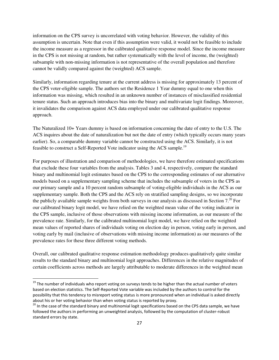information on the CPS survey is uncorrelated with voting behavior. However, the validity of this assumption is uncertain. Note that even if this assumption were valid, it would not be feasible to include the income measure as a regressor in the calibrated qualitative response model. Since the income measure in the CPS is not missing at random, but rather systematically with the level of income, the (weighted) subsample with non-missing information is not representative of the overall population and therefore cannot be validly compared against the (weighted) ACS sample.

Similarly, information regarding tenure at the current address is missing for approximately 13 percent of the CPS voter-eligible sample. The authors set the Residence 1 Year dummy equal to one when this information was missing, which resulted in an unknown number of instances of misclassified residential tenure status. Such an approach introduces bias into the binary and multivariate logit findings. Moreover, it invalidates the comparison against ACS data employed under our calibrated qualitative response approach.

The Naturalized 10+ Years dummy is based on information concerning the date of entry to the U.S. The ACS inquires about the date of naturalization but not the date of entry (which typically occurs many years earlier). So, a comparable dummy variable cannot be constructed using the ACS. Similarly, it is not feasible to construct a Self-Reported Vote indicator using the ACS sample.<sup>19</sup>

For purposes of illustration and comparison of methodologies, we have therefore estimated specifications that exclude these four variables from the analysis. Tables 3 and 4, respectively, compare the standard binary and multinomial logit estimates based on the CPS to the corresponding estimates of our alternative models based on a supplementary sampling scheme that includes the subsample of voters in the CPS as our primary sample and a 10 percent random subsample of voting-eligible individuals in the ACS as our supplementary sample. Both the CPS and the ACS rely on stratified sampling designs, so we incorporate the publicly available sample weights from both surveys in our analysis as discussed in Section  $7.^{20}$  For our calibrated binary logit model, we have relied on the weighted mean value of the voting indicator in the CPS sample, inclusive of those observations with missing income information, as our measure of the prevalence rate. Similarly, for the calibrated multinomial logit model, we have relied on the weighted mean values of reported shares of individuals voting on election day in person, voting early in person, and voting early by mail (inclusive of observations with missing income information) as our measures of the prevalence rates for these three different voting methods.

Overall, our calibrated qualitative response estimation methodology produces qualitatively quite similar results to the standard binary and multinomial logit approaches. Differences in the relative magnitudes of certain coefficients across methods are largely attributable to moderate differences in the weighted mean

l

 $^{19}$  The number of individuals who report voting on surveys tends to be higher than the actual number of voters based on election statistics. The Self-Reported Vote variable was included by the authors to control for the possibility that this tendency to misreport voting status is more pronounced when an individual is asked directly about his or her voting behavior than when voting status is reported by proxy.

<sup>&</sup>lt;sup>20</sup> In the case of the standard binary and multinomial logit specifications based on the CPS data sample, we have followed the authors in performing an unweighted analysis, followed by the computation of cluster-robust standard errors by state.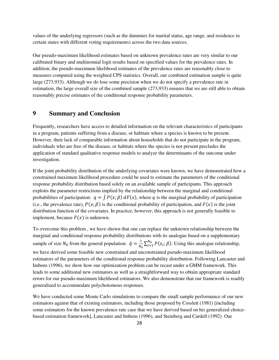values of the underlying regressors (such as the dummies for marital status, age range, and residence in certain states with different voting requirements) across the two data sources.

Our pseudo-maximum likelihood estimates based on unknown prevalence rates are very similar to our calibrated binary and multinomial logit results based on specified values for the prevalence rates. In addition, the pseudo-maximum likelihood estimates of the prevalence rates are reasonably close to measures computed using the weighted CPS statistics. Overall, our combined estimation sample is quite large (273,933). Although we do lose some precision when we do not specify a prevalence rate in estimation, the large overall size of the combined sample (273,933) ensures that we are still able to obtain reasonably precise estimates of the conditional response probability parameters.

## **9 Summary and Conclusion**

Frequently, researchers have access to detailed information on the relevant characteristics of participants in a program, patients suffering from a disease, or habitats where a species is known to be present. However, their lack of comparable information about households that do not participate in the program, individuals who are free of the disease, or habitats where the species is not present precludes the application of standard qualitative response models to analyze the determinants of the outcome under investigation.

If the joint probability distribution of the underlying covariates were known, we have demonstrated how a constrained maximum likelihood procedure could be used to estimate the parameters of the conditional response probability distribution based solely on an available sample of participants. This approach exploits the parameter restrictions implied by the relationship between the marginal and conditional probabilities of participation:  $q = \int P(x;\beta) dF(x)$ , where q is the marginal probability of participation (i.e., the prevalence rate),  $P(x; \beta)$  is the conditional probability of participation, and  $F(x)$  is the joint distribution function of the covariates. In practice, however, this approach is not generally feasible to implement, because  $F(x)$  is unknown.

To overcome this problem , we have shown that one can replace the unknown relationship between the marginal and conditional response probability distributions with its analogue based on a supplementary sample of size  $N_0$  from the general population:  $\tilde{q} = \frac{1}{N_0} \sum_{i=1}^{N_0} P(x_i; \beta)$ . Using this analogue relationship, we have derived some feasible new constrained and unconstrained pseudo-maximum likelihood estimators of the parameters of the conditional response probability distribution. Following Lancaster and Imbens (1996), we show how our optimization problem can be recast under a GMM framework. This leads to some additional new estimators as well as a straightforward way to obtain appropriate standard errors for our pseudo-maximum likelihood estimators. We also demonstrate that our framework is readily generalized to accommodate polychotomous responses.

We have conducted some Monte Carlo simulations to compare the small sample performance of our new estimators against that of existing estimators, including those proposed by Cosslett (1981) [including some estimators for the known prevalence rate case that we have derived based on his generalized choicebased estimation framework], Lancaster and Imbens (1996), and Steinberg and Cardell (1992). Our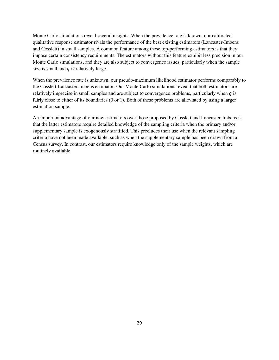Monte Carlo simulations reveal several insights. When the prevalence rate is known, our calibrated qualitative response estimator rivals the performance of the best existing estimators (Lancaster-Imbens and Cosslett) in small samples. A common feature among these top-performing estimators is that they impose certain consistency requirements. The estimators without this feature exhibit less precision in our Monte Carlo simulations, and they are also subject to convergence issues, particularly when the sample size is small and  $q$  is relatively large.

When the prevalence rate is unknown, our pseudo-maximum likelihood estimator performs comparably to the Cosslett-Lancaster-Imbens estimator. Our Monte Carlo simulations reveal that both estimators are relatively imprecise in small samples and are subject to convergence problems, particularly when  $q$  is fairly close to either of its boundaries (0 or 1). Both of these problems are alleviated by using a larger estimation sample.

An important advantage of our new estimators over those proposed by Cosslett and Lancaster-Imbens is that the latter estimators require detailed knowledge of the sampling criteria when the primary and/or supplementary sample is exogenously stratified. This precludes their use when the relevant sampling criteria have not been made available, such as when the supplementary sample has been drawn from a Census survey. In contrast, our estimators require knowledge only of the sample weights, which are routinely available.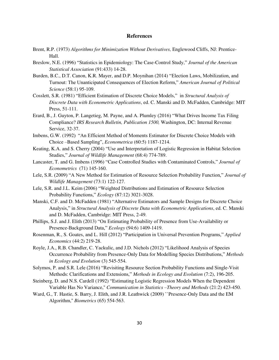#### **References**

- Brent, R.P. (1973) *Algorithms for Minimization Without Derivatives,* Englewood Cliffs, NJ: Prentice-Hall.
- Breslow, N.E. (1996) "Statistics in Epidemiology: The Case-Control Study," *Journal of the American Statistical Association* (91:433) 14-28.
- Burden, B.C., D.T. Canon, K.R. Mayer, and D.P. Moynihan (2014) "Election Laws, Mobilization, and Turnout: The Unanticipated Consequences of Election Reform," *American Journal of Political Science* (58:1) 95-109.
- Cosslett, S.R. (1981) "Efficient Estimation of Discrete Choice Models," in *Structural Analysis of Discrete Data with Econometric Applications*, ed. C. Manski and D. McFadden, Cambridge: MIT Press, 51-111.
- Erard, B., J. Guyton, P. Langetieg, M. Payne, and A. Plumley (2016) "What Drives Income Tax Filing Compliance? *IRS Research Bulletin, Publication 1500,* Washington, DC: Internal Revenue Service, 32-37.
- Imbens, G.W. (1992) "An Efficient Method of Moments Estimator for Discrete Choice Models with Choice –Based Sampling", *Econometrica* (60:5) 1187-1214.
- Keating, K.A. and S. Cherry (2004) "Use and Interpretation of Logistic Regression in Habitat Selection Studies," *Journal of Wildlife Management* (68:4) 774-789.
- Lancaster, T. and G. Imbens (1996) "Case Controlled Studies with Contaminated Controls," *Journal of Econometrics* (71) 145-160.
- Lele, S.R. (2009) "A New Method for Estimation of Resource Selection Probability Function," *Journal of Wildlife Management* (73:1) 122-127.
- Lele, S.R. and J.L. Keim (2006) "Weighted Distributions and Estimation of Resource Selection Probability Functions," *Ecology* (87:12) 3021-3028.
- Manski, C.F. and D. McFadden (1981) "Alternative Estimators and Sample Designs for Discrete Choice Analysis," in *Structural Analysis of Discrete Data with Econometric Applications*, ed. C. Manski and D. McFadden, Cambridge: MIT Press, 2-49.
- Phillips, S.J. and J. Elith (2013) "On Estimating Probability of Presence from Use-Availability or Presence-Background Data," *Ecology* (94:6) 1409-1419.
- Rosenman, R., S. Goates, and L. Hill (2012) "Participation in Universal Prevention Programs," *Applied Economics* (44:2) 219-28.
- Royle, J.A., R.B. Chandler, C. Yackulic, and J.D. Nichols (2012) "Likelihood Analysis of Species Occurrence Probability from Presence-Only Data for Modelling Species Distributions," *Methods in Ecology and Evolution* (3) 545-554.
- Solymos, P. and S.R. Lele (2016) "Revisiting Resource Section Probability Functions and Single-Visit Methods: Clarifications and Extensions," *Methods in Ecology and Evolution* (7:2), 196-205.
- Steinberg, D. and N.S. Cardell (1992) "Estimating Logistic Regression Models When the Dependent Variable Has No Variance,'' *Communication in Statistics –Theory and Methods* (21:2) 423-450.
- Ward, G., T. Hastie, S. Barry, J. Elith, and J.R. Leathwick (2009) "Presence-Only Data and the EM Algorithm,'' *Biometrics* (65) 554-563.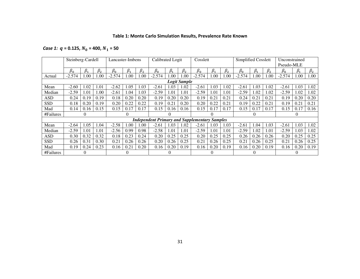## **Table 1: Monte Carlo Simulation Results, Prevalence Rate Known**

## *Case 1:*  $q = 0.125, N_0 = 400, N_1 = 50$

|            | Steinberg-Cardell |             |             | Lancaster-Imbens |           |             | Calibrated Logit                                     |             |                     | Cosslett  |           |             | Simplified Cosslett |          |             | Unconstrained |           |           |
|------------|-------------------|-------------|-------------|------------------|-----------|-------------|------------------------------------------------------|-------------|---------------------|-----------|-----------|-------------|---------------------|----------|-------------|---------------|-----------|-----------|
|            |                   |             |             |                  |           |             |                                                      |             |                     |           |           |             |                     |          |             | Pseudo-MLE    |           |           |
|            | $\beta_0$         | $\beta_{1}$ | $\beta_{2}$ | $\beta_0$        | $\beta_1$ | $\beta_{2}$ | $\beta_0$                                            | $\beta_{1}$ | $\beta_{2}$         | $\beta_0$ | $\beta_1$ | $\beta_{2}$ | $\beta_0$           | ß.       | $\beta_{2}$ | $\beta_0$     | $\beta_1$ | $\beta_2$ |
| Actual     | $-2.574$          | 00.         | 1.00        | $-2.574$         | 1.00      | 00.         | $-2.574$                                             | 00.         | 1.00                | $-2.574$  | 1.00      | 1.00        | $-2.574$            | 1.00     | 1.00        | $-2.574$      | 1.00      | 1.00      |
|            |                   |             |             |                  |           |             |                                                      |             | <b>Logit Sample</b> |           |           |             |                     |          |             |               |           |           |
| Mean       | $-2.60$           | 1.02        | 1.01        | $-2.62$          | 1.05      | 1.03        | $-2.61$                                              | 1.03        | 1.02                | $-2.61$   | 1.03      | 1.02        | $-2.61$             | 1.03     | 1.02        | $-2.61$       | 1.03      | 1.02      |
| Median     | $-2.59$           | 1.01        | 1.00        | $-2.61$          | 1.04      | 1.03        | $-2.59$                                              | 1.01        | 1.01                | $-2.59$   | 1.01      | 1.01        | $-2.59$             | 1.02     | 1.02        | $-2.59$       | 1.02      | 1.02      |
| ASD        | 0.24              | 0.19        | 0.19        | 0.18             | 0.20      | 0.20        | 0.19                                                 | 0.20        | 0.20                | 0.19      | 0.21      | 0.21        | 0.24                | 0.21     | 0.21        | 0.19          | 0.20      | 0.20      |
| <b>SSD</b> | 0.18              | 0.20        | 0.19        | 0.20             | 0.22      | 0.22        | 0.19                                                 | 0.21        | 0.20                | 0.20      | 0.22      | 0.21        | 0.19                | 0.22     | 0.21        | 0.19          | 0.21      | 0.21      |
| Mad        | 0.14              | 0.16        | 0.15        | 0.15             | 0.17      | 0.17        | 0.15                                                 | 0.16        | 0.16                | 0.15      | 0.17      | 0.17        | 0.15                | 0.17     | 0.17        | 0.15          | 0.17      | 0.16      |
| #Failures  |                   | 0           |             |                  | 0         |             |                                                      | 0           |                     |           | 0         |             |                     | $\Omega$ |             |               |           |           |
|            |                   |             |             |                  |           |             | <b>Independent Primary and Supplementary Samples</b> |             |                     |           |           |             |                     |          |             |               |           |           |
| Mean       | $-2.64$           | 1.05        | 1.04        | $-2.58$          | 1.00      | 00.1        | $-2.61$                                              | 1.03        | 1.02                | $-2.61$   | 1.03      | 1.03        | $-2.61$             | 1.04     | 1.03        | $-2.61$       | 1.03      | 1.02      |
| Median     | $-2.59$           | 1.01        | 1.01        | $-2.56$          | 0.99      | 0.98        | $-2.58$                                              | 1.01        | 1.01                | $-2.59$   | 1.01      | 1.01        | $-2.59$             | 1.02     | 1.01        | $-2.59$       | 1.03      | 1.02      |
| <b>ASD</b> | 0.30              | 0.32        | 0.32        | 0.18             | 0.23      | 0.24        | 0.20                                                 | 0.25        | 0.25                | 0.20      | 0.25      | 0.25        | 0.26                | 0.26     | 0.26        | 0.20          | 0.25      | 0.25      |
| <b>SSD</b> | 0.26              | 0.31        | 0.30        | 0.21             | 0.26      | 0.26        | 0.20                                                 | 0.26        | 0.25                | 0.21      | 0.26      | 0.25        | 0.21                | 0.26     | 0.25        | 0.21          | 0.26      | 0.25      |
| Mad        | 0.19              | 0.24        | 0.23        | 0.16             | 0.21      | 0.20        | 0.16                                                 | 0.20        | 0.19                | 0.16      | 0.20      | 0.19        | 0.16                | 0.20     | 0.19        | 0.16          | 0.20      | 0.19      |
| #Failures  |                   | 0           |             |                  |           |             |                                                      | 0           |                     |           | $\theta$  |             |                     |          |             |               |           |           |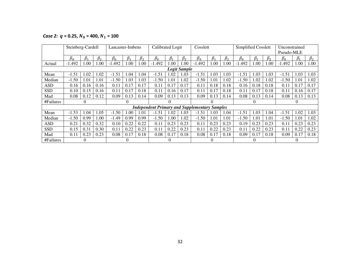*Case 2:*  $q = 0.25, N_0 = 400, N_1 = 100$ 

|            | Steinberg-Cardell |           |           | Lancaster-Imbens |           |           | Calibrated Logit |           |                     | Cosslett                                             |           |           | Simplified Cosslett |           |           | Unconstrained |           |           |
|------------|-------------------|-----------|-----------|------------------|-----------|-----------|------------------|-----------|---------------------|------------------------------------------------------|-----------|-----------|---------------------|-----------|-----------|---------------|-----------|-----------|
|            |                   |           |           |                  |           |           |                  |           |                     |                                                      |           |           |                     |           |           | Pseudo-MLE    |           |           |
|            | $\beta_0$         | $\beta_1$ | $\beta_2$ | $\beta_0$        | $\beta_1$ | $\beta_2$ | $\beta_0$        | $\beta_1$ | $\beta_2$           | $\beta_0$                                            | $\beta_1$ | $\beta_2$ | $\beta_0$           | $\beta_1$ | $\beta_2$ | $\beta_0$     | $\beta_1$ | $\beta_2$ |
| Actual     | $-1.492$          | 1.00      | 1.00      | $-1.492$         | 1.00      | 1.00      | $-1.492$         | .00       | 1.00                | $-1.492$                                             | 1.00      | 1.00      | $-1.492$            | 1.00      | 00.1      | $-1.492$      | 1.00      | 1.00      |
|            |                   |           |           |                  |           |           |                  |           | <b>Logit Sample</b> |                                                      |           |           |                     |           |           |               |           |           |
| Mean       | $-1.51$           | .02       | 1.02      | $-1.51$          | 1.04      | 1.04      | $-1.51$          | .02       | 1.03                | $-1.51$                                              | 1.03      | 1.03      | $-1.51$             | 1.03      | 1.03      | $-1.51$       | 1.03      | 1.03      |
| Median     | $-1.50$           | .01       | 1.01      | $-1.50$          | 1.03      | 1.03      | $-1.50$          | .01       | 1.02                | $-1.50$                                              | 1.01      | 1.02      | $-1.50$             | 1.02      | 1.02      | $-1.50$       | 1.01      | 1.02      |
| ASD        | 0.16              | 0.16      | 0.16      | 0.11             | 0.17      | 0.17      | 0.11             | 0.17      | 0.17                | 0.11                                                 | 0.18      | 0.18      | 0.16                | 0.18      | 0.18      | 0.11          | 0.17      | 0.17      |
| <b>SSD</b> | 0.10              | 0.15      | 0.16      | 0.11             | 0.17      | 0.18      | 0.11             | 0.16      | 0.17                | 0.11                                                 | 0.17      | 0.18      | 0.11                | 0.17      | 0.18      | 0.11          | 0.16      | 0.17      |
| Mad        | 0.08              | 0.12      | 0.12      | 0.09             | 0.13      | 0.14      | 0.09             | 0.13      | 0.13                | 0.09                                                 | 0.13      | 0.14      | 0.08                | 0.13      | 0.14      | 0.08          | 0.13      | 0.13      |
| #Failures  |                   | $\theta$  |           |                  | $_{0}$    |           |                  | $\theta$  |                     |                                                      |           |           |                     | $\theta$  |           |               |           |           |
|            |                   |           |           |                  |           |           |                  |           |                     | <b>Independent Primary and Supplementary Samples</b> |           |           |                     |           |           |               |           |           |
| Mean       | $-1.53$           | .04       | 1.05      | $-1.50$          | 1.00      | 1.01      | $-1.51$          | .02       | 1.03                | $-1.51$                                              | 1.03      | 1.04      | $-1.51$             | 1.03      | 1.04      | $-1.51$       | 1.02      | 1.03      |
| Median     | $-1.50$           | 0.99      | 1.00      | $-1.49$          | 0.99      | 0.99      | $-1.50$          | .00       | 1.02                | $-1.50$                                              | 1.01      | 1.01      | $-1.50$             | 1.01      | 1.01      | $-1.50$       | 1.01      | 1.02      |
| <b>ASD</b> | 0.21              | 0.32      | 0.32      | 0.10             | 0.22      | 0.22      | 0.11             | 0.23      | 0.23                | 0.11                                                 | 0.23      | 0.23      | 0.19                | 0.23      | 0.23      | 0.11          | 0.23      | 0.23      |
| <b>SSD</b> | 0.15              | 0.31      | 0.30      | 0.11             | 0.22      | 0.23      | 0.11             | 0.22      | 0.23                | 0.11                                                 | 0.22      | 0.23      | 0.11                | 0.22      | 0.23      | 0.11          | 0.22      | 0.23      |
| Mad        | 0.11              | 0.23      | 0.23      | 0.08             | 0.17      | 0.18      | 0.08             | 0.17      | 0.18                | 0.08                                                 | 0.17      | 0.18      | 0.09                | 0.17      | 0.18      | 0.09          | 0.17      | 0.18      |
| #Failures  |                   |           |           |                  |           |           |                  | 0         |                     |                                                      |           |           |                     |           |           |               |           |           |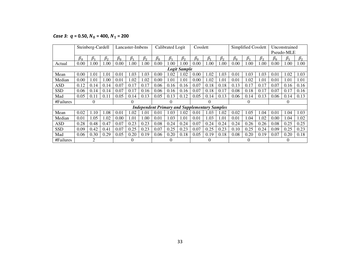*Case 3:*  $q = 0.50, N_0 = 400, N_1 = 200$ 

|            |           | Steinberg-Cardell |           |           | Lancaster-Imbens |           |           | Calibrated Logit                                     |                     | Cosslett  |           |           |           | Simplified Cosslett |           |           | Unconstrained |           |
|------------|-----------|-------------------|-----------|-----------|------------------|-----------|-----------|------------------------------------------------------|---------------------|-----------|-----------|-----------|-----------|---------------------|-----------|-----------|---------------|-----------|
|            |           |                   |           |           |                  |           |           |                                                      |                     |           |           |           |           |                     |           |           | Pseudo-MLE    |           |
|            | $\beta_0$ | $\beta_1$         | $\beta_2$ | $\beta_0$ | $\beta_1$        | $\beta_2$ | $\beta_0$ | $\beta_1$                                            | $\beta_2$           | $\beta_0$ | $\beta_1$ | $\beta_2$ | $\beta_0$ | $\beta_1$           | $\beta_2$ | $\beta_0$ | $\beta_1$     | $\beta_2$ |
| Actual     | 0.00      | 1.00              | 1.00      | 0.00      | .00.             | 1.00      | 0.00      | 1.00                                                 | .00.                | 0.00      | 1.00      | 1.00      | 0.00      | 1.00                | 1.00      | 0.00      | 1.00          | 1.00      |
|            |           |                   |           |           |                  |           |           |                                                      | <b>Logit Sample</b> |           |           |           |           |                     |           |           |               |           |
| Mean       | 0.00      | 1.01              | 1.01      | 0.01      | .03              | 1.03      | 0.00      | 1.02                                                 | 1.02                | 0.00      | 1.02      | 1.03      | 0.01      | 1.03                | 1.03      | 0.01      | 1.02          | 1.03      |
| Median     | 0.00      | 1.01              | 1.00      | 0.01      | .02              | 1.02      | 0.00      | 1.01                                                 | 1.01                | 0.00      | 1.02      | 1.01      | 0.01      | 1.02                | 1.01      | 0.01      | 1.01          | 1.01      |
| ASD        | 0.12      | 0.14              | 0.14      | 0.07      | 0.17             | 0.17      | 0.06      | 0.16                                                 | 0.16                | 0.07      | 0.18      | 0.18      | 0.13      | 0.17                | 0.17      | 0.07      | 0.16          | 0.16      |
| <b>SSD</b> | 0.06      | 0.14              | 0.14      | 0.07      | 0.17             | 0.16      | 0.06      | 0.16                                                 | 0.16                | 0.07      | 0.18      | 0.17      | 0.08      | 0.18                | 0.17      | 0.07      | 0.17          | 0.16      |
| Mad        | 0.05      | 0.11              | 0.11      | 0.05      | 0.14             | 0.13      | 0.05      | 0.13                                                 | 0.12                | 0.05      | 0.14      | 0.13      | 0.06      | 0.14                | 0.13      | 0.06      | 0.14          | 0.13      |
| #Failures  |           | $\theta$          |           |           | $\Omega$         |           |           | $\theta$                                             |                     |           | $^{(1)}$  |           |           | $\theta$            |           |           | $\theta$      |           |
|            |           |                   |           |           |                  |           |           | <b>Independent Primary and Supplementary Samples</b> |                     |           |           |           |           |                     |           |           |               |           |
| Mean       | 0.02      | 1.10              | 1.08      | 0.01      | .02              | 1.01      | 0.01      | 1.03                                                 | 1.02                | 0.01      | 1.03      | 1.02      | 0.02      | 1.05                | 1.04      | 0.01      | 1.04          | 1.03      |
| Median     | 0.01      | 1.05              | 1.02      | 0.00      | 1.01             | 1.00      | 0.01      | 1.03                                                 | 1.01                | 0.01      | 1.03      | 1.01      | 0.01      | 1.04                | 1.02      | 0.00      | 1.04          | 1.02      |
| <b>ASD</b> | 0.28      | 0.48              | 0.47      | 0.07      | 0.23             | 0.23      | 0.08      | 0.24                                                 | 0.24                | 0.07      | 0.24      | 0.24      | 0.24      | 0.26                | 0.26      | 0.08      | 0.25          | 0.25      |
| <b>SSD</b> | 0.09      | 0.42              | 0.41      | 0.07      | 0.25             | 0.23      | 0.07      | 0.25                                                 | 0.23                | 0.07      | 0.25      | 0.23      | 0.10      | 0.25                | 0.24      | 0.09      | 0.25          | 0.23      |
| Mad        | 0.06      | 0.30              | 0.29      | 0.05      | 0.20             | 0.19      | 0.06      | 0.20                                                 | 0.18                | 0.05      | 0.19      | 0.18      | 0.08      | 0.20                | 0.19      | 0.07      | 0.20          | 0.18      |
| #Failures  |           | 2                 |           |           | $^{(1)}$         |           |           | $\theta$                                             |                     |           | 0         |           |           | $\Omega$            |           |           | $\Omega$      |           |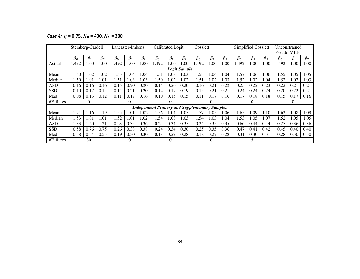*Case 4:*  $q = 0.75$ ,  $N_0 = 400$ ,  $N_1 = 300$ 

|            | Steinberg-Cardell |                 |           |           | Lancaster-Imbens |           |                                                      | Calibrated Logit |                     | Cosslett  |           |           | Simplified Cosslett |           |           | Unconstrained |           |           |
|------------|-------------------|-----------------|-----------|-----------|------------------|-----------|------------------------------------------------------|------------------|---------------------|-----------|-----------|-----------|---------------------|-----------|-----------|---------------|-----------|-----------|
|            |                   |                 |           |           |                  |           |                                                      |                  |                     |           |           |           |                     |           |           | Pseudo-MLE    |           |           |
|            | $\beta_0$         | $\mathcal{B}_1$ | $\beta_2$ | $\beta_0$ | $\beta_1$        | $\beta_2$ | $\beta_0$                                            | $\beta_1$        | $\beta_2$           | $\beta_0$ | $\beta_1$ | $\beta_2$ | $\beta_0$           | $\beta_1$ | $\beta_2$ | $\beta_0$     | $\beta_1$ | $\beta_2$ |
| Actual     | .492              | 1.00            | 1.00      | .492      | 1.00             | 1.00      | .492                                                 | $\Omega$         | 1.00                | .492      | .00       | .00.      | .492                | 1.00      | 1.00      | .492          | 1.00      | 1.00      |
|            |                   |                 |           |           |                  |           |                                                      |                  | <b>Logit Sample</b> |           |           |           |                     |           |           |               |           |           |
| Mean       | l.50              | 1.02            | 1.02      | 1.53      | 1.04             | 1.04      | l .51                                                | 1.03             | 1.03                | 1.53      | 1.04      | 1.04      | .57                 | 1.06      | 1.06      | 1.55          | .05       | 1.05      |
| Median     | 1.50              | 1.01            | 1.01      | 1.51      | 1.03             | 1.03      | 1.50                                                 | 1.02             | 1.02                | 1.51      | 1.02      | 1.03      | l.52                | 1.02      | 1.04      | 1.52          | 0.02      | 1.03      |
| ASD        | 0.16              | 0.16            | 0.16      | 0.15      | 0.20             | 0.20      | 0.14                                                 | 0.20             | 0.20                | 0.16      | 0.21      | 0.22      | 0.25                | 0.22      | 0.23      | 0.22          | 0.21      | 0.21      |
| <b>SSD</b> | 0.10              | 0.17            | 0.15      | 0.14      | 0.21             | 0.20      | 0.12                                                 | 0.19             | 0.19                | 0.15      | 0.21      | 0.21      | 0.24                | 0.24      | 0.24      | 0.20          | 0.22      | 0.21      |
| Mad        | 0.08              | 0.13            | 0.12      | 0.11      | 0.17             | 0.16      | 0.10                                                 | 0.15             | 0.15                | 0.11      | 0.17      | 0.16      | 0.17                | 0.18      | 0.18      | 0.15          | 0.17      | 0.16      |
| #Failures  |                   |                 |           |           | $\theta$         |           |                                                      | $\theta$         |                     |           | $_{0}$    |           |                     | $\theta$  |           |               |           |           |
|            |                   |                 |           |           |                  |           | <b>Independent Primary and Supplementary Samples</b> |                  |                     |           |           |           |                     |           |           |               |           |           |
| Mean       | 1.71              | 1.16            | 1.19      | 1.55      | 1.01             | 1.02      | l.56                                                 | .04              | 1.05                | 1.57      | 1.05      | 1.06      | 1.65                | 1.09      | 1.10      | 1.62          | 1.08      | 1.09      |
| Median     | 1.53              | 1.01            | 1.01      | 1.52      | 1.01             | 1.02      | 1.54                                                 | 1.03             | 1.03                | 1.54      | 1.03      | 1.04      | l.53                | 1.05      | 1.07      | 1.52          | 0.05      | 1.05      |
| <b>ASD</b> | 1.33              | .20             | 1.21      | 0.23      | 0.35             | 0.36      | 0.24                                                 | 0.34             | 0.35                | 0.24      | 0.35      | 0.35      | 0.66                | 0.44      | 0.44      | 0.27          | 0.36      | 0.36      |
| <b>SSD</b> | 0.58              | 0.76            | 0.75      | 0.26      | 0.38             | 0.38      | 0.24                                                 | 0.34             | 0.36                | 0.25      | 0.35      | 0.36      | 0.47                | 0.41      | 0.42      | 0.45          | 0.40      | 0.40      |
| Mad        | 0.38              | 0.54            | 0.53      | 0.19      | 0.30             | 0.30      | 0.18                                                 | 0.27             | 0.28                | 0.18      | 0.27      | 0.28      | 0.31                | 0.30      | 0.31      | 0.28          | 0.30      | 0.30      |
| #Failures  |                   | 30              |           |           |                  |           |                                                      | $\left($         |                     |           | $\Omega$  |           |                     |           |           |               |           |           |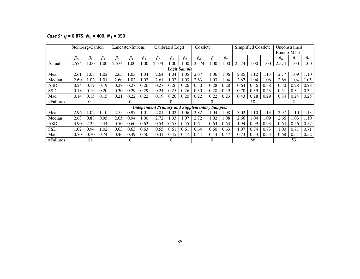*Case 5:*  $q = 0.875, N_0 = 400, N_1 = 350$ 

|            | Steinberg-Cardell |           |           | Lancaster-Imbens |           |           |                                                      | Calibrated Logit |                     | Cosslett  |           |           | Simplified Cosslett |      |      | Unconstrained |           |           |
|------------|-------------------|-----------|-----------|------------------|-----------|-----------|------------------------------------------------------|------------------|---------------------|-----------|-----------|-----------|---------------------|------|------|---------------|-----------|-----------|
|            |                   |           |           |                  |           |           |                                                      |                  |                     |           |           |           |                     |      |      | Pseudo-MLE    |           |           |
|            | $\beta_0$         | $\beta_1$ | $\beta_2$ | $\beta_0$        | $\beta_1$ | $\beta_2$ | $\beta_0$                                            | $\beta_1$        | $\beta_2$           | $\beta_0$ | $\beta_1$ | $\beta_2$ |                     |      |      | $\beta_0$     | $\beta_1$ | $\beta_2$ |
| Actual     | 2.574             | 1.00      | 1.00      | 2.574            | 1.00      | 1.00      | 2.574                                                | .00.             | 00.1                | 2.574     | 1.00      | 1.00      | 2.574               | 1.00 | 1.00 | 2.574         | 1.00      | 1.00      |
|            |                   |           |           |                  |           |           |                                                      |                  | <b>Logit Sample</b> |           |           |           |                     |      |      |               |           |           |
| Mean       | 2.61              | 1.03      | 1.02      | 2.65             | 1.03      | 1.04      | 2.64                                                 | .04              | 1.05                | 2.67      | 1.06      | 1.06      | 2.85                | 1.12 | 1.13 | 2.77          | .09       | 1.10      |
| Median     | 2.60              | 1.02      | 1.01      | 2.60             | 1.02      | 1.02      | 2.61                                                 | 1.03             | 1.03                | 2.63      | 1.03      | 1.04      | 2.67                | 1.04 | 1.06 | 2.66          | 1.04      | 1.05      |
| ASD        | 0.24              | 0.19      | 0.19      | 0.28             | 0.27      | 0.26      | 0.27                                                 | 0.26             | 0.26                | 0.30      | 0.28      | 0.28      | 0.64                | 0.36 | 0.38 | 0.30          | 0.28      | 0.28      |
| <b>SSD</b> | 0.18              | 0.19      | 0.20      | 0.30             | 0.29      | 0.29      | 0.24                                                 | 0.25             | 0.26                | 0.30      | 0.28      | 0.29      | 0.70                | 0.39 | 0.43 | 0.51          | 0.34      | 0.34      |
| Mad        | 0.14              | 0.15      | 0.15      | 0.21             | 0.22      | 0.22      | 0.19                                                 | 0.20             | 0.20                | 0.22      | 0.22      | 0.23      | 0.43                | 0.28 | 0.29 | 0.34          | 0.24      | 0.25      |
| #Failures  |                   | 0         |           |                  | 0         |           |                                                      |                  |                     |           | $\theta$  |           |                     | 10   |      |               |           |           |
|            |                   |           |           |                  |           |           | <b>Independent Primary and Supplementary Samples</b> |                  |                     |           |           |           |                     |      |      |               |           |           |
| Mean       | 2.96              | 1.02      | 1.10      | 2.75             | 0.97      | 1.01      | 2.81                                                 | 1.02             | 1.06                | 2.82      | 1.04      | 1.08      | 3.02                | 1.10 | 1.13 | 2.97          | 1.10      | 1.13      |
| Median     | 2.63              | 0.88      | 0.95      | 2.65             | 0.94      | 1.00      | 2.72                                                 | 1.03             | 1.07                | 2.72      | 1.02      | 1.08      | 2.66                | .04  | 1.09 | 2.66          | 1.03      | 1.10      |
| <b>ASD</b> | 3.90              | 2.25      | 2.44      | 0.50             | 0.60      | 0.62      | 0.54                                                 | 0.55             | 0.55                | 0.61      | 0.63      | 0.63      | 1.94                | 0.99 | 0.93 | 0.64          | 0.56      | 0.57      |
| <b>SSD</b> | 1.02              | 0.94      | 1.02      | 0.63             | 0.63      | 0.63      | 0.55                                                 | 0.61             | 0.61                | 0.64      | 0.60      | 0.63      | 1.07                | 0.74 | 0.73 | 1.00          | 0.71      | 0.71      |
| Mad        | 0.70              | 0.70      | 0.74      | 0.46             | 0.49      | 0.50      | 0.41                                                 | 0.45             | 0.47                | 0.44      | 0.44      | 0.47      | 0.73                | 0.53 | 0.53 | 0.68          | 0.51      | 0.52      |
| #Failures  |                   | 181       |           |                  | 0         |           |                                                      |                  |                     |           | $\Omega$  |           |                     | 86   |      |               | 53        |           |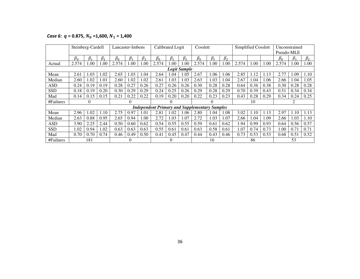*Case 6:*  $q = 0.875, N_0 = 1,600, N_1 = 1,400$ 

|            | Steinberg-Cardell |           |           | Lancaster-Imbens |           |           |                                                      | Calibrated Logit |                     | Cosslett  |           |           | Simplified Cosslett |      |      | Unconstrained |           |           |
|------------|-------------------|-----------|-----------|------------------|-----------|-----------|------------------------------------------------------|------------------|---------------------|-----------|-----------|-----------|---------------------|------|------|---------------|-----------|-----------|
|            |                   |           |           |                  |           |           |                                                      |                  |                     |           |           |           |                     |      |      | Pseudo-MLE    |           |           |
|            | $\beta_0$         | $\beta_1$ | $\beta_2$ | $\beta_0$        | $\beta_1$ | $\beta_2$ | $\beta_0$                                            | $\beta_1$        | $\beta_2$           | $\beta_0$ | $\beta_1$ | $\beta_2$ |                     |      |      | $\beta_0$     | $\beta_1$ | $\beta_2$ |
| Actual     | 2.574             | $1.00\,$  | 0.00      | 2.574            | 1.00      | .00       | 2.574                                                | .00.             | .00                 | 2.574     | 1.00      | 1.00      | 2.574               | 1.00 | 1.00 | 2.574         | 1.00      | 1.00      |
|            |                   |           |           |                  |           |           |                                                      |                  | <b>Logit Sample</b> |           |           |           |                     |      |      |               |           |           |
| Mean       | 2.61              | 1.03      | .02       | 2.65             | 1.03      | .04       | 2.64                                                 | .04              | 1.05                | 2.67      | 1.06      | 1.06      | 2.85                | 1.12 | 1.13 | 2.77          | 1.09      | 1.10      |
| Median     | 2.60              | 1.02      | 1.01      | 2.60             | 1.02      | .02       | 2.61                                                 | .03              | 1.03                | 2.63      | 1.03      | 1.04      | 2.67                | 1.04 | 1.06 | 2.66          | l.04      | 1.05      |
| ASD        | 0.24              | 0.19      | 0.19      | 0.28             | 0.27      | 0.26      | 0.27                                                 | 0.26             | 0.26                | 0.30      | 0.28      | 0.28      | 0.64                | 0.36 | 0.38 | 0.30          | 0.28      | 0.28      |
| <b>SSD</b> | 0.18              | 0.19      | 0.20      | 0.30             | 0.29      | 0.29      | 0.24                                                 | 0.25             | 0.26                | 0.29      | 0.28      | 0.29      | 0.70                | 0.39 | 0.43 | 0.51          | 0.34      | 0.34      |
| Mad        | 0.14              | 0.15      | 0.15      | 0.21             | 0.22      | 0.22      | 0.19                                                 | 0.20             | 0.20                | 0.22      | 0.23      | 0.23      | 0.43                | 0.28 | 0.29 | 0.34          | 0.24      | 0.25      |
| #Failures  |                   | $\theta$  |           |                  | 0         |           |                                                      |                  |                     |           | $\Omega$  |           |                     | 10   |      |               |           |           |
|            |                   |           |           |                  |           |           | <b>Independent Primary and Supplementary Samples</b> |                  |                     |           |           |           |                     |      |      |               |           |           |
| Mean       | 2.96              | 1.02      | 1.10      | 2.75             | 0.97      | .01       | 2.81                                                 | .02              | 1.06                | 2.80      | 1.04      | 1.08      | 3.02                | 1.10 | 1.13 | 2.97          | 1.10      | 1.13      |
| Median     | 2.63              | 0.88      | 0.95      | 2.65             | 0.94      | 00.1      | 2.72                                                 | .03              | 1.07                | 2.72      | 1.03      | 1.07      | 2.66                | 1.04 | 1.09 | 2.66          | 1.03      | 1.10      |
| <b>ASD</b> | 3.90              | 2.25      | 2.44      | 0.50             | 0.60      | 0.62      | 0.54                                                 | 0.55             | 0.55                | 0.59      | 0.61      | 0.62      | 1.94                | 0.99 | 0.93 | 0.64          | 0.56      | 0.57      |
| <b>SSD</b> | 1.02              | 0.94      | 1.02      | 0.63             | 0.63      | 0.63      | 0.55                                                 | 0.61             | 0.61                | 0.63      | 0.58      | 0.61      | 1.07                | 0.74 | 0.73 | 1.00          | 0.71      | 0.71      |
| Mad        | 0.70              | 0.70      | 0.74      | 0.46             | 0.49      | 0.50      | 0.41                                                 | 0.45             | 0.47                | 0.44      | 0.43      | 0.46      | 0.73                | 0.53 | 0.53 | 0.68          | 0.51      | 0.52      |
| #Failures  |                   | 181       |           |                  | 0         |           |                                                      |                  |                     |           | 16        |           |                     | 86   |      |               | 53        |           |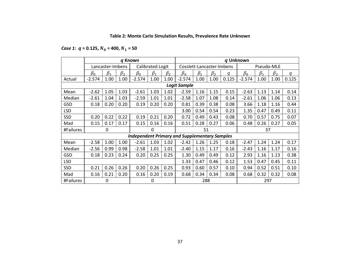### **Table 2: Monte Carlo Simulation Results, Prevalence Rate Unknown**

*Case 1:*  $q = 0.125, N_0 = 400, N_1 = 50$ 

|            |           |                  |           | q Known                                              |                  |                      |                           |           |           |       | q Unknown |            |                      |       |
|------------|-----------|------------------|-----------|------------------------------------------------------|------------------|----------------------|---------------------------|-----------|-----------|-------|-----------|------------|----------------------|-------|
|            |           | Lancaster-Imbens |           |                                                      | Calibrated Logit |                      | Cosslett-Lancaster-Imbens |           |           |       |           | Pseudo-MLE |                      |       |
|            | $\beta_0$ | $\beta_1$        | $\beta_2$ | $\beta_0$                                            | $\beta_1$        | $\beta$ <sub>2</sub> | $\beta_0$                 | $\beta_1$ | $\beta_2$ | a     | $\beta_0$ | $\beta_1$  | $\beta$ <sub>2</sub> | a     |
| Actual     | $-2.574$  | 1.00             | 1.00      | $-2.574$                                             | 1.00             | 1.00                 | $-2.574$                  | 1.00      | 1.00      | 0.125 | $-2.574$  | 1.00       | 1.00                 | 0.125 |
|            |           |                  |           |                                                      |                  |                      | <b>Logit Sample</b>       |           |           |       |           |            |                      |       |
| Mean       | $-2.62$   | 1.05             | 1.03      | $-2.61$                                              | 1.03             | 1.02                 | $-2.59$                   | 1.16      | 1.15      | 0.15  | $-2.63$   | 1.13       | 1.14                 | 0.14  |
| Median     | $-2.61$   | 1.04             | 1.03      | $-2.59$                                              | 1.01             | 1.01                 | $-2.58$                   | 1.07      | 1.08      | 0.14  | $-2.61$   | 1.06       | 1.06                 | 0.13  |
| GSD        | 0.18      | 0.20             | 0.20      | 0.19                                                 | 0.20             | 0.20                 | 0.81                      | 0.39      | 0.38      | 0.08  | 3.66      | 1.18       | 1.16                 | 0.44  |
| <b>LSD</b> |           |                  |           |                                                      |                  |                      | 3.00                      | 0.54      | 0.54      | 0.23  | 1.35      | 0.47       | 0.49                 | 0.11  |
| <b>SSD</b> | 0.20      | 0.22             | 0.22      | 0.19                                                 | 0.21             | 0.20                 | 0.72                      | 0.49      | 0.43      | 0.08  | 0.70      | 0.57       | 0.75                 | 0.07  |
| Mad        | 0.15      | 0.17             | 0.17      | 0.15                                                 | 0.16             | 0.16                 | 0.51                      | 0.28      | 0.27      | 0.06  | 0.48      | 0.26       | 0.27                 | 0.05  |
| #Failures  |           | 0                |           |                                                      | $\Omega$         |                      |                           | 51        |           |       |           | 37         |                      |       |
|            |           |                  |           | <b>Independent Primary and Supplementary Samples</b> |                  |                      |                           |           |           |       |           |            |                      |       |
| Mean       | $-2.58$   | 1.00             | 1.00      | $-2.61$                                              | 1.03             | 1.02                 | $-2.42$                   | 1.26      | 1.25      | 0.18  | $-2.47$   | 1.24       | 1.24                 | 0.17  |
| Median     | $-2.56$   | 0.99             | 0.98      | $-2.58$                                              | 1.01             | 1.01                 | $-2.40$                   | 1.15      | 1.17      | 0.16  | $-2.43$   | 1.16       | 1.17                 | 0.16  |
| GSD        | 0.18      | 0.23             | 0.24      | 0.20                                                 | 0.25             | 0.25                 | 1.30                      | 0.49      | 0.49      | 0.12  | 2.93      | 1.16       | 1.13                 | 0.38  |
| <b>LSD</b> |           |                  |           |                                                      |                  |                      | 1.33                      | 0.47      | 0.46      | 0.12  | 1.53      | 0.47       | 0.45                 | 0.11  |
| SSD        | 0.21      | 0.26             | 0.26      | 0.20                                                 | 0.26             | 0.25                 | 0.93                      | 0.60      | 0.57      | 0.10  | 0.94      | 0.52       | 0.51                 | 0.10  |
| Mad        | 0.16      | 0.21             | 0.20      | 0.16                                                 | 0.20             | 0.19                 | 0.68                      | 0.34      | 0.34      | 0.08  | 0.68      | 0.32       | 0.32                 | 0.08  |
| #Failures  |           | 0                |           |                                                      | $\Omega$         |                      |                           | 288       |           |       |           | 297        |                      |       |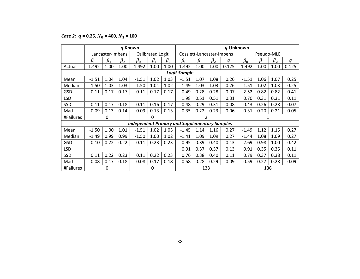*Case 2:*  $q = 0.25, N_0 = 400, N_1 = 100$ 

|            |           |                  |           | q Known                                              |                  |           |                           |           |           |       | q Unknown |            |           |       |
|------------|-----------|------------------|-----------|------------------------------------------------------|------------------|-----------|---------------------------|-----------|-----------|-------|-----------|------------|-----------|-------|
|            |           | Lancaster-Imbens |           |                                                      | Calibrated Logit |           | Cosslett-Lancaster-Imbens |           |           |       |           | Pseudo-MLE |           |       |
|            | $\beta_0$ | $\beta_1$        | $\beta_2$ | $\beta_0$                                            | $\beta_1$        | $\beta_2$ | $\beta_0$                 | $\beta_1$ | $\beta_2$ | q     | $\beta_0$ | $\beta_1$  | $\beta_2$ | q     |
| Actual     | $-1.492$  | 1.00             | 1.00      | $-1.492$                                             | 1.00             | 1.00      | $-1.492$                  | 1.00      | 1.00      | 0.125 | $-1.492$  | 1.00       | 1.00      | 0.125 |
|            |           |                  |           |                                                      |                  |           | <b>Logit Sample</b>       |           |           |       |           |            |           |       |
| Mean       | $-1.51$   | 1.04             | 1.04      | $-1.51$                                              | 1.02             | 1.03      | $-1.51$                   | 1.07      | 1.08      | 0.26  | $-1.51$   | 1.06       | 1.07      | 0.25  |
| Median     | $-1.50$   | 1.03             | 1.03      | $-1.50$                                              | 1.01             | 1.02      | $-1.49$                   | 1.03      | 1.03      | 0.26  | $-1.51$   | 1.02       | 1.03      | 0.25  |
| <b>GSD</b> | 0.11      | 0.17             | 0.17      | 0.11                                                 | 0.17             | 0.17      | 0.49                      | 0.28      | 0.28      | 0.07  | 2.52      | 0.82       | 0.82      | 0.41  |
| <b>LSD</b> |           |                  |           |                                                      |                  |           | 1.98                      | 0.51      | 0.51      | 0.31  | 0.70      | 0.31       | 0.31      | 0.11  |
| <b>SSD</b> | 0.11      | 0.17             | 0.18      | 0.11                                                 | 0.16             | 0.17      | 0.48                      | 0.29      | 0.31      | 0.08  | 0.43      | 0.26       | 0.28      | 0.07  |
| Mad        | 0.09      | 0.13             | 0.14      | 0.09                                                 | 0.13             | 0.13      | 0.35                      | 0.22      | 0.23      | 0.06  | 0.31      | 0.20       | 0.21      | 0.05  |
| #Failures  |           | 0                |           |                                                      | $\Omega$         |           |                           | 2         |           |       |           |            |           |       |
|            |           |                  |           | <b>Independent Primary and Supplementary Samples</b> |                  |           |                           |           |           |       |           |            |           |       |
| Mean       | $-1.50$   | 1.00             | 1.01      | $-1.51$                                              | 1.02             | 1.03      | $-1.45$                   | 1.14      | 1.16      | 0.27  | $-1.49$   | 1.12       | 1.15      | 0.27  |
| Median     | $-1.49$   | 0.99             | 0.99      | $-1.50$                                              | 1.00             | 1.02      | $-1.41$                   | 1.09      | 1.09      | 0.27  | $-1.44$   | 1.08       | 1.09      | 0.27  |
| <b>GSD</b> | 0.10      | 0.22             | 0.22      | 0.11                                                 | 0.23             | 0.23      | 0.95                      | 0.39      | 0.40      | 0.13  | 2.69      | 0.98       | 1.00      | 0.42  |
| <b>LSD</b> |           |                  |           |                                                      |                  |           | 0.91                      | 0.37      | 0.37      | 0.13  | 0.91      | 0.35       | 0.35      | 0.11  |
| SSD        | 0.11      | 0.22             | 0.23      | 0.11                                                 | 0.22             | 0.23      | 0.76                      | 0.38      | 0.40      | 0.11  | 0.79      | 0.37       | 0.38      | 0.11  |
| Mad        | 0.08      | 0.17             | 0.18      | 0.08                                                 | 0.17             | 0.18      | 0.58                      | 0.28      | 0.29      | 0.09  | 0.59      | 0.27       | 0.28      | 0.09  |
| #Failures  |           | 0                |           |                                                      | $\Omega$         |           |                           | 138       |           |       |           | 136        |           |       |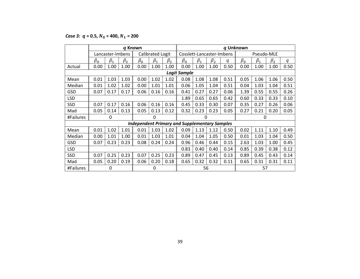*Case 3:*  $q = 0.5$ ,  $N_0 = 400$ ,  $N_1 = 200$ 

|            |           |                  | q Known   |           |                  |           |                                                      |           |           |      | q Unknown |            |           |      |
|------------|-----------|------------------|-----------|-----------|------------------|-----------|------------------------------------------------------|-----------|-----------|------|-----------|------------|-----------|------|
|            |           | Lancaster-Imbens |           |           | Calibrated Logit |           | Cosslett-Lancaster-Imbens                            |           |           |      |           | Pseudo-MLE |           |      |
|            | $\beta_0$ | $\beta_1$        | $\beta_2$ | $\beta_0$ | $\beta_1$        | $\beta_2$ | $\beta_0$                                            | $\beta_1$ | $\beta_2$ | q    | $\beta_0$ | $\beta_1$  | $\beta_2$ | q    |
| Actual     | 0.00      | 1.00             | 1.00      | 0.00      | 1.00             | 1.00      | 0.00                                                 | 1.00      | 1.00      | 0.50 | 0.00      | 1.00       | 1.00      | 0.50 |
|            |           |                  |           |           |                  |           | <b>Logit Sample</b>                                  |           |           |      |           |            |           |      |
| Mean       | 0.01      | 1.03             | 1.03      | 0.00      | 1.02             | 1.02      | 0.08                                                 | 1.08      | 1.08      | 0.51 | 0.05      | 1.06       | 1.06      | 0.50 |
| Median     | 0.01      | 1.02             | 1.02      | 0.00      | 1.01             | 1.01      | 0.06                                                 | 1.05      | 1.04      | 0.51 | 0.04      | 1.03       | 1.04      | 0.51 |
| GSD        | 0.07      | 0.17             | 0.17      | 0.06      | 0.16             | 0.16      | 0.41                                                 | 0.27      | 0.27      | 0.06 | 1.39      | 0.55       | 0.55      | 0.26 |
| <b>LSD</b> |           |                  |           |           |                  |           | 1.89                                                 | 0.65      | 0.65      | 0.42 | 0.60      | 0.33       | 0.33      | 0.10 |
| SSD        | 0.07      | 0.17             | 0.16      | 0.06      | 0.16             | 0.16      | 0.45                                                 | 0.33      | 0.30      | 0.07 | 0.35      | 0.27       | 0.26      | 0.06 |
| Mad        | 0.05      | 0.14             | 0.13      | 0.05      | 0.13             | 0.12      | 0.32                                                 | 0.23      | 0.23      | 0.05 | 0.27      | 0.21       | 0.20      | 0.05 |
| #Failures  |           | 0                |           |           | 0                |           |                                                      | $\Omega$  |           |      |           | 0          |           |      |
|            |           |                  |           |           |                  |           | <b>Independent Primary and Supplementary Samples</b> |           |           |      |           |            |           |      |
| Mean       | 0.01      | 1.02             | 1.01      | 0.01      | 1.03             | 1.02      | 0.09                                                 | 1.13      | 1.12      | 0.50 | 0.02      | 1.11       | 1.10      | 0.49 |
| Median     | 0.00      | 1.01             | 1.00      | 0.01      | 1.03             | 1.01      | 0.04                                                 | 1.04      | 1.05      | 0.50 | 0.01      | 1.03       | 1.04      | 0.50 |
| GSD        | 0.07      | 0.23             | 0.23      | 0.08      | 0.24             | 0.24      | 0.96                                                 | 0.46      | 0.44      | 0.15 | 2.63      | 1.03       | 1.00      | 0.45 |
| <b>LSD</b> |           |                  |           |           |                  |           | 0.83                                                 | 0.40      | 0.40      | 0.14 | 0.85      | 0.39       | 0.38      | 0.12 |
| SSD        | 0.07      | 0.25             | 0.23      | 0.07      | 0.25             | 0.23      | 0.89                                                 | 0.47      | 0.45      | 0.13 | 0.89      | 0.45       | 0.43      | 0.14 |
| Mad        | 0.05      | 0.20             | 0.19      | 0.06      | 0.20             | 0.18      | 0.65                                                 | 0.32      | 0.32      | 0.11 | 0.65      | 0.31       | 0.31      | 0.11 |
| #Failures  |           | 0                |           |           | 0                |           |                                                      | 56        |           |      |           | 57         |           |      |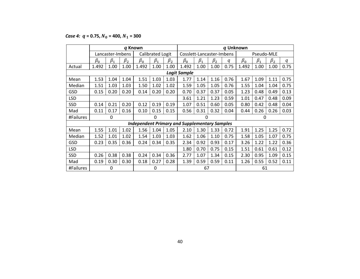*Case 4:*  $q = 0.75, N_0 = 400, N_1 = 300$ 

|            |           |                  | q Known   |           |                         |           |                                                      |           |           | q Unknown |                              |            |           |      |  |
|------------|-----------|------------------|-----------|-----------|-------------------------|-----------|------------------------------------------------------|-----------|-----------|-----------|------------------------------|------------|-----------|------|--|
|            |           | Lancaster-Imbens |           |           | <b>Calibrated Logit</b> |           | Cosslett-Lancaster-Imbens                            |           |           |           |                              | Pseudo-MLE |           |      |  |
|            | $\beta_0$ | $\beta_1$        | $\beta_2$ | $\beta_0$ | $\beta_1$               | $\beta_2$ | $\beta_0$                                            | $\beta_1$ | $\beta_2$ | q         | $\beta_0$                    | $\beta_1$  | $\beta_2$ | q    |  |
| Actual     | 1.492     | 1.00             | 1.00      | 1.492     | 1.00                    | 1.00      | 1.492                                                | 1.00      | 1.00      | 0.75      | 1.492                        | 1.00       | 1.00      | 0.75 |  |
|            |           |                  |           |           |                         |           | <b>Logit Sample</b>                                  |           |           |           |                              |            |           |      |  |
| Mean       | 1.53      | 1.04             | 1.04      | 1.51      | 1.03                    | 1.03      | 1.77                                                 | 1.14      | 1.16      | 0.76      | 1.67                         | 1.09       | 1.11      | 0.75 |  |
| Median     | 1.51      | 1.03             | 1.03      | 1.50      | 1.02                    | 1.02      | 1.59                                                 | 1.05      | 1.05      | 0.76      | 1.55                         | 1.04       | 1.04      | 0.75 |  |
| GSD        | 0.15      | 0.20             | 0.20      | 0.14      | 0.20                    | 0.20      | 0.70                                                 | 0.37      | 0.37      | 0.05      | 1.23                         | 0.48       | 0.49      | 0.13 |  |
| <b>LSD</b> |           |                  |           |           |                         |           | 3.61                                                 | 1.21      | 1.23      | 0.59      | 1.01                         | 0.47       | 0.48      | 0.09 |  |
| SSD        | 0.14      | 0.21             | 0.20      | 0.12      | 0.19                    | 0.19      | 1.07                                                 | 0.51      | 0.60      | 0.05      | 0.80                         | 0.42       | 0.48      | 0.04 |  |
| Mad        | 0.11      | 0.17             | 0.16      | 0.10      | 0.15                    | 0.15      | 0.56                                                 | 0.31      | 0.32      | 0.04      | 0.44                         | 0.26       | 0.26      | 0.03 |  |
| #Failures  |           | 0                |           |           | 0                       |           |                                                      | 0         |           |           |                              | 0          |           |      |  |
|            |           |                  |           |           |                         |           | <b>Independent Primary and Supplementary Samples</b> |           |           |           |                              |            |           |      |  |
| Mean       | 1.55      | 1.01             | 1.02      | 1.56      | 1.04                    | 1.05      | 2.10                                                 | 1.30      | 1.33      | 0.72      | 1.91                         | 1.25       | 1.25      | 0.72 |  |
| Median     | 1.52      | 1.01             | 1.02      | 1.54      | 1.03                    | 1.03      | 1.62                                                 | 1.06      | 1.10      | 0.75      | 1.58                         | 1.05       | 1.07      | 0.75 |  |
| GSD        | 0.23      | 0.35             | 0.36      | 0.24      | 0.34                    | 0.35      | 2.34                                                 | 0.92      | 0.93      | 0.17      | 3.26                         | 1.22       | 1.22      | 0.36 |  |
| <b>LSD</b> |           |                  |           |           |                         |           | 1.80                                                 | 0.70      | 0.75      | 0.15      | 1.51                         | 0.61       | 0.61      | 0.12 |  |
| SSD        | 0.26      | 0.38             | 0.38      | 0.24      | 0.34                    | 0.36      | 2.77                                                 | 1.07      | 1.34      | 0.15      | 2.30                         | 0.95       | 1.09      | 0.15 |  |
| Mad        | 0.19      | 0.30             | 0.30      | 0.18      | 0.27                    | 0.28      | 1.39                                                 | 0.59      | 0.59      | 0.11      | 1.26<br>0.55<br>0.52<br>0.11 |            |           |      |  |
| #Failures  |           | 0                |           |           | 0                       |           |                                                      | 67        |           |           |                              | 61         |           |      |  |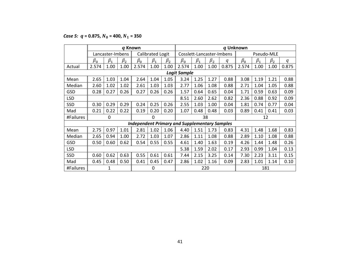*Case 5:*  $q = 0.875, N_0 = 400, N_1 = 350$ 

|            |           |                  |           | q Known                                              |                  |           |                     |                           |           | q Unknown |           |           |            |       |
|------------|-----------|------------------|-----------|------------------------------------------------------|------------------|-----------|---------------------|---------------------------|-----------|-----------|-----------|-----------|------------|-------|
|            |           | Lancaster-Imbens |           |                                                      | Calibrated Logit |           |                     | Cosslett-Lancaster-Imbens |           |           |           |           | Pseudo-MLE |       |
|            | $\beta_0$ | $\beta_1$        | $\beta_2$ | $\beta_0$                                            | $\beta_1$        | $\beta_2$ | $\beta_0$           | $\beta_1$                 | $\beta_2$ | q         | $\beta_0$ | $\beta_1$ | $\beta_2$  | q     |
| Actual     | 2.574     | 1.00             | 1.00      | 2.574                                                | 1.00             | 1.00      | 2.574               | 1.00                      | 1.00      | 0.875     | 2.574     | 1.00      | 1.00       | 0.875 |
|            |           |                  |           |                                                      |                  |           | <b>Logit Sample</b> |                           |           |           |           |           |            |       |
| Mean       | 2.65      | 1.03             | 1.04      | 2.64                                                 | 1.04             | 1.05      | 3.24                | 1.25                      | 1.27      | 0.88      | 3.08      | 1.19      | 1.21       | 0.88  |
| Median     | 2.60      | 1.02             | 1.02      | 2.61                                                 | 1.03             | 1.03      | 2.77                | 1.06                      | 1.08      | 0.88      | 2.71      | 1.04      | 1.05       | 0.88  |
| GSD        | 0.28      | 0.27             | 0.26      | 0.27                                                 | 0.26             | 0.26      | 1.57                | 0.64                      | 0.65      | 0.04      | 1.71      | 0.59      | 0.63       | 0.09  |
| <b>LSD</b> |           |                  |           |                                                      |                  |           | 8.51                | 2.60                      | 2.62      | 0.82      | 2.36      | 0.88      | 0.92       | 0.09  |
| <b>SSD</b> | 0.30      | 0.29             | 0.29      | 0.24                                                 | 0.25             | 0.26      | 2.55                | 1.03                      | 1.00      | 0.04      | 1.81      | 0.74      | 0.77       | 0.04  |
| Mad        | 0.21      | 0.22             | 0.22      | 0.19                                                 | 0.20             | 0.20      | 1.07                | 0.48                      | 0.48      | 0.03      | 0.89      | 0.41      | 0.41       | 0.03  |
| #Failures  |           | $\mathbf{0}$     |           |                                                      | $\Omega$         |           |                     |                           | 38        |           |           |           | 12         |       |
|            |           |                  |           | <b>Independent Primary and Supplementary Samples</b> |                  |           |                     |                           |           |           |           |           |            |       |
| Mean       | 2.75      | 0.97             | 1.01      | 2.81                                                 | 1.02             | 1.06      | 4.40                | 1.51                      | 1.73      | 0.83      | 4.31      | 1.48      | 1.68       | 0.83  |
| Median     | 2.65      | 0.94             | 1.00      | 2.72                                                 | 1.03             | 1.07      | 2.86                | 1.11                      | 1.08      | 0.88      | 2.89      | 1.10      | 1.08       | 0.88  |
| GSD        | 0.50      | 0.60             | 0.62      | 0.54                                                 | 0.55             | 0.55      | 4.61                | 1.40                      | 1.63      | 0.19      | 4.26      | 1.44      | 1.48       | 0.26  |
| <b>LSD</b> |           |                  |           |                                                      |                  |           | 5.38                | 1.59                      | 2.02      | 0.17      | 2.93      | 0.99      | 1.04       | 0.13  |
| SSD        | 0.60      | 0.62             | 0.63      | 0.55                                                 | 0.61             | 0.61      | 7.44                | 2.15                      | 3.25      | 0.14      | 7.30      | 2.23      | 3.11       | 0.15  |
| Mad        | 0.45      | 0.48             | 0.50      | 0.41                                                 | 0.45             | 0.47      | 2.86                | 1.02                      | 1.16      | 0.09      | 2.83      | 1.01      | 1.14       | 0.10  |
| #Failures  |           | 1                |           |                                                      | 0                |           |                     |                           | 220       |           |           |           | 181        |       |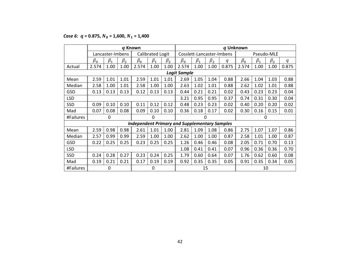## *Case 6:*  $q = 0.875$ ,  $N_0 = 1,600$ ,  $N_1 = 1,400$

|            |           |                  | q Known   |                                                      |                  |           |                     |           |           |                           | q Unknown |              |            |       |
|------------|-----------|------------------|-----------|------------------------------------------------------|------------------|-----------|---------------------|-----------|-----------|---------------------------|-----------|--------------|------------|-------|
|            |           | Lancaster-Imbens |           |                                                      | Calibrated Logit |           |                     |           |           | Cosslett-Lancaster-Imbens |           |              | Pseudo-MLE |       |
|            | $\beta_0$ | $\beta_1$        | $\beta_2$ | $\beta_0$                                            | $\beta_1$        | $\beta_2$ | $\beta_0$           | $\beta_1$ | $\beta_2$ | q                         | $\beta_0$ | $\beta_1$    | $\beta_2$  | q     |
| Actual     | 2.574     | 1.00             | 1.00      | 2.574                                                | 1.00             | 1.00      | 2.574               | 1.00      | 1.00      | 0.875                     | 2.574     | 1.00         | 1.00       | 0.875 |
|            |           |                  |           |                                                      |                  |           | <b>Logit Sample</b> |           |           |                           |           |              |            |       |
| Mean       | 2.59      | 1.01             | 1.01      | 2.59                                                 | 1.01             | 1.01      | 2.69                | 1.05      | 1.04      | 0.88                      | 2.66      | 1.04         | 1.03       | 0.88  |
| Median     | 2.58      | 1.00             | 1.01      | 2.58                                                 | 1.00             | 1.00      | 2.63                | 1.02      | 1.01      | 0.88                      | 2.62      | 1.02         | 1.01       | 0.88  |
| GSD        | 0.13      | 0.13             | 0.13      | 0.12                                                 | 0.13             | 0.13      | 0.44                | 0.21      | 0.21      | 0.02                      | 0.43      | 0.23         | 0.23       | 0.04  |
| <b>LSD</b> |           |                  |           |                                                      |                  |           | 3.21                | 0.95      | 0.95      | 0.37                      | 0.74      | 0.31         | 0.30       | 0.04  |
| <b>SSD</b> | 0.09      | 0.10             | 0.10      | 0.11                                                 | 0.12             | 0.12      | 0.48                | 0.23      | 0.23      | 0.02                      | 0.40      | 0.20         | 0.20       | 0.02  |
| Mad        | 0.07      | 0.08             | 0.08      | 0.09                                                 | 0.10             | 0.10      | 0.36                | 0.18      | 0.17      | 0.02                      | 0.30      | 0.16         | 0.15       | 0.01  |
| #Failures  |           | 0                |           |                                                      | $\Omega$         |           |                     |           | 0         |                           |           | $\mathbf{0}$ |            |       |
|            |           |                  |           | <b>Independent Primary and Supplementary Samples</b> |                  |           |                     |           |           |                           |           |              |            |       |
| Mean       | 2.59      | 0.98             | 0.98      | 2.61                                                 | 1.01             | 1.00      | 2.81                | 1.09      | 1.08      | 0.86                      | 2.75      | 1.07         | 1.07       | 0.86  |
| Median     | 2.57      | 0.99             | 0.99      | 2.59                                                 | 1.00             | 1.00      | 2.62                | 1.00      | 1.00      | 0.87                      | 2.58      | 1.01         | 1.00       | 0.87  |
| GSD        | 0.22      | 0.25             | 0.25      | 0.23                                                 | 0.25             | 0.25      | 1.26                | 0.46      | 0.46      | 0.08                      | 2.05      | 0.71         | 0.70       | 0.13  |
| <b>LSD</b> |           |                  |           |                                                      |                  |           | 1.08                | 0.41      | 0.41      | 0.07                      | 0.96      | 0.36         | 0.36       | 0.70  |
| SSD        | 0.24      | 0.28             | 0.27      | 0.23                                                 | 0.24             | 0.25      | 1.79                | 0.60      | 0.64      | 0.07                      | 1.76      | 0.62         | 0.60       | 0.08  |
| Mad        | 0.19      | 0.21             | 0.21      | 0.17                                                 | 0.19             | 0.19      | 0.92                | 0.35      | 0.35      | 0.05                      | 0.91      | 0.35         | 0.34       | 0.05  |
| #Failures  |           | 0                |           |                                                      | 0                |           |                     |           | 15        |                           |           |              | 10         |       |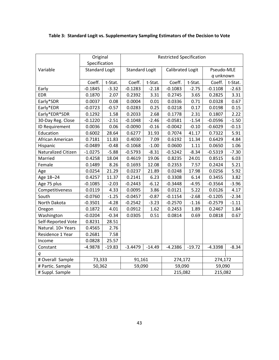|                     | Original              |          | <b>Restricted Specification</b> |          |                         |          |            |         |  |
|---------------------|-----------------------|----------|---------------------------------|----------|-------------------------|----------|------------|---------|--|
|                     | Specification         |          |                                 |          |                         |          |            |         |  |
| Variable            | <b>Standard Logit</b> |          | <b>Standard Logit</b>           |          | <b>Calibrated Logit</b> |          | Pseudo-MLE |         |  |
|                     |                       |          |                                 |          |                         |          | q unknown  |         |  |
|                     | Coeff.                | t-Stat.  | Coeff.                          | t-Stat.  | Coeff.                  | t-Stat.  | Coeff.     | t-Stat. |  |
| Early               | $-0.1845$             | $-3.32$  | $-0.1283$                       | $-2.18$  | $-0.1083$               | $-2.75$  | $-0.1108$  | $-2.63$ |  |
| <b>EDR</b>          | 0.1870                | 2.07     | 0.2392                          | 3.31     | 0.2745                  | 3.65     | 0.2825     | 3.31    |  |
| Early*SDR           | 0.0037                | 0.08     | 0.0004                          | 0.01     | 0.0336                  | 0.71     | 0.0328     | 0.67    |  |
| Early*EDR           | $-0.0723$             | $-0.57$  | 0.0283                          | 0.25     | 0.0218                  | 0.17     | 0.0198     | 0.15    |  |
| Early*EDR*SDR       | 0.1292                | 1.58     | 0.2033                          | 2.68     | 0.1778                  | 2.31     | 0.1807     | 2.22    |  |
| 30-Day Reg. Close   | $-0.1220$             | $-2.51$  | $-0.1048$                       | $-2.46$  | $-0.0581$               | $-1.54$  | $-0.0596$  | $-1.50$ |  |
| ID Requirement      | 0.0036                | 0.06     | $-0.0090$                       | $-0.16$  | $-0.0042$               | $-0.10$  | $-0.6029$  | $-0.13$ |  |
| Education           | 0.6002                | 28.64    | 0.6277                          | 31.93    | 0.7074                  | 41.17    | 0.7322     | 5.91    |  |
| African American    | 0.7181                | 11.83    | 0.4030                          | 7.09     | 0.6192                  | 11.34    | 0.6429     | 4.84    |  |
| Hispanic            | $-0.0489$             | $-0.48$  | $-0.1068$                       | $-1.00$  | 0.0600                  | 1.11     | 0.0650     | 1.06    |  |
| Naturalized Citizen | $-1.0275$             | $-5.88$  | $-0.5793$                       | $-8.31$  | $-0.5242$               | $-8.34$  | $-0.5319$  | $-7.30$ |  |
| Married             | 0.4258                | 18.04    | 0.4619                          | 19.06    | 0.8235                  | 24.01    | 0.8515     | 6.03    |  |
| Female              | 0.1489                | 8.26     | 0.1693                          | 12.08    | 0.2353                  | 7.57     | 0.2424     | 5.21    |  |
| Age                 | 0.0254                | 21.29    | 0.0237                          | 21.89    | 0.0248                  | 17.98    | 0.0256     | 5.92    |  |
| Age 18-24           | 0.4257                | 11.37    | 0.2141                          | 6.23     | 0.3308                  | 6.14     | 0.3455     | 3.82    |  |
| Age 75 plus         | $-0.1085$             | $-2.03$  | $-0.2443$                       | $-6.12$  | $-0.3448$               | $-4.95$  | $-0.3564$  | $-3.96$ |  |
| Competitiveness     | 0.0119                | 4.33     | 0.0095                          | 3.86     | 0.0121                  | 5.22     | 0.0126     | 4.17    |  |
| South               | $-0.0760$             | $-1.25$  | $-0.0457$                       | $-0.87$  | $-0.1154$               | $-2.68$  | $-0.1205$  | $-2.34$ |  |
| North Dakota        | $-0.3501$             | $-4.28$  | $-0.2542$                       | $-3.23$  | $-0.2570$               | $-1.16$  | $-0.2579$  | $-1.11$ |  |
| Oregon              | 0.1872                | 4.01     | 0.0912                          | 1.62     | 0.2453                  | 1.89     | 0.2467     | 1.84    |  |
| Washington          | $-0.0204$             | $-0.34$  | 0.0305                          | 0.51     | 0.0814                  | 0.69     | 0.0818     | 0.67    |  |
| Self-Reported Vote  | 0.8231                | 28.51    |                                 |          |                         |          |            |         |  |
| Natural. 10+ Years  | 0.4565                | 2.76     |                                 |          |                         |          |            |         |  |
| Residence 1 Year    | 0.2681                | 7.58     |                                 |          |                         |          |            |         |  |
| Income              | 0.0828                | 25.57    |                                 |          |                         |          |            |         |  |
| Constant            | $-4.9878$             | $-19.83$ | $-3.4479$                       | $-14.49$ | $-4.2386$               | $-19.72$ | $-4.3398$  | $-8.34$ |  |
| q                   |                       |          |                                 |          |                         |          |            |         |  |
| # Overall Sample    | 73,333                |          | 91,161                          |          | 274,172                 |          | 274,172    |         |  |
| # Partic. Sample    | 50,362                |          | 59,090                          |          | 59,090                  |          | 59,090     |         |  |
| # Suppl. Sample     |                       |          |                                 |          | 215,082                 |          | 215,082    |         |  |

**Table 3: Standard Logit vs. Supplementary Sampling Estimators of the Decision to Vote**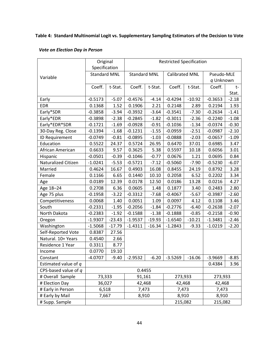## **Table 4: Standard Multinomial Logit vs. Supplementary Sampling Estimators of the Decision to Vote**

#### *Vote on Election Day in Person*

|                        | Original<br>Specification |          | <b>Restricted Specification</b> |          |                       |          |            |         |  |
|------------------------|---------------------------|----------|---------------------------------|----------|-----------------------|----------|------------|---------|--|
|                        | <b>Standard MNL</b>       |          | <b>Standard MNL</b>             |          | <b>Calibrated MNL</b> |          | Pseudo-MLE |         |  |
| Variable               |                           |          |                                 |          |                       |          | q Unknown  |         |  |
|                        | Coeff.                    | t-Stat.  | Coeff.                          | t-Stat.  | Coeff.                | t-Stat.  | Coeff.     | $t-$    |  |
|                        |                           |          |                                 |          |                       |          |            | Stat.   |  |
| Early                  | $-0.5173$                 | $-5.07$  | $-0.4576$                       | $-4.14$  | $-0.4294$             | $-10.92$ | $-0.3653$  | $-2.18$ |  |
| <b>EDR</b>             | 0.1368                    | 1.52     | 0.1906                          | 2.21     | 0.2148                | 2.89     | 0.2194     | 1.93    |  |
| Early*SDR              | $-0.3858$                 | $-3.94$  | $-0.3932$                       | $-3.64$  | $-0.3541$             | $-7.30$  | $-0.2634$  | $-1.41$ |  |
| Early*EDR              | $-0.3898$                 | $-2.38$  | $-0.2845$                       | $-1.82$  | $-0.3011$             | $-2.36$  | $-0.2240$  | $-1.08$ |  |
| Early*EDR*SDR          | $-0.1721$                 | $-1.69$  | $-0.0928$                       | $-0.91$  | $-0.1036$             | $-1.34$  | $-0.0374$  | $-0.30$ |  |
| 30-Day Reg. Close      | $-0.1394$                 | $-1.68$  | $-0.1231$                       | $-1.55$  | $-0.0959$             | $-2.51$  | $-0.0987$  | $-2.10$ |  |
| ID Requirement         | $-0.0749$                 | $-0.81$  | $-0.0895$                       | $-1.03$  | $-0.0888$             | $-2.03$  | $-0.0657$  | $-1.09$ |  |
| Education              | 0.5522                    | 24.37    | 0.5724                          | 26.95    | 0.6470                | 37.01    | 0.6985     | 3.47    |  |
| African American       | 0.6633                    | 9.57     | 0.3625                          | 5.38     | 0.5597                | 10.18    | 0.6056     | 3.01    |  |
| Hispanic               | $-0.0501$                 | $-0.39$  | $-0.1046$                       | $-0.77$  | 0.0676                | 1.21     | 0.0695     | 0.84    |  |
| Naturalized Citizen    | $-1.0241$                 | $-5.53$  | $-0.5721$                       | $-7.12$  | $-0.5060$             | $-7.90$  | $-0.5230$  | $-6.07$ |  |
| Married                | 0.4624                    | 16.67    | 0.4903                          | 16.08    | 0.8455                | 24.19    | 0.8792     | 3.28    |  |
| Female                 | 0.1166                    | 6.65     | 0.1440                          | 10.10    | 0.2058                | 6.52     | 0.2202     | 3.34    |  |
| Age                    | 0.0189                    | 12.39    | 0.0178                          | 12.50    | 0.0186                | 13.28    | 0.0216     | 4.27    |  |
| Age 18-24              | 0.2708                    | 6.36     | 0.0605                          | 1.48     | 0.1877                | 3.40     | 0.2483     | 2.80    |  |
| Age 75 plus            | $-0.1958$                 | $-3.22$  | $-0.3312$                       | $-7.68$  | $-0.4067$             | $-5.67$  | $-0.3987$  | $-2.60$ |  |
| Competitiveness        | 0.0068                    | 1.40     | 0.0051                          | 1.09     | 0.0097                | 4.12     | 0.1108     | 3.46    |  |
| South                  | $-0.2331$                 | $-1.95$  | $-0.2056$                       | $-1.84$  | $-0.2776$             | $-6.40$  | $-0.2638$  | $-2.07$ |  |
| North Dakota           | $-0.2383$                 | $-1.92$  | $-0.1588$                       | $-1.38$  | $-0.1888$             | $-0.85$  | $-0.2158$  | $-0.90$ |  |
| Oregon                 | $-1.9307$                 | $-23.43$ | $-1.9537$                       | $-19.93$ | $-1.6540$             | $-10.21$ | $-1.3481$  | $-2.46$ |  |
| Washington             | $-1.5068$                 | $-17.79$ | $-1.4311$                       | $-16.34$ | $-1.2843$             | $-9.33$  | $-1.0219$  | $-2.20$ |  |
| Self-Reported Vote     | 0.8387                    | 27.56    |                                 |          |                       |          |            |         |  |
| Natural. 10+ Years     | 0.4540                    | 2.66     |                                 |          |                       |          |            |         |  |
| Residence 1 Year       | 0.3311                    | 8.77     |                                 |          |                       |          |            |         |  |
| Income                 | 0.0770                    | 19.10    |                                 |          |                       |          |            |         |  |
| Constant               | $-4.0707$                 | $-9.40$  | $-2.9532$                       | $-6.20$  | $-3.5269$             | $-16.06$ | $-3.9669$  | $-8.85$ |  |
| Estimated value of q   |                           |          |                                 |          |                       |          | 0.4384     | 3.96    |  |
| CPS-based value of $q$ |                           |          | 0.4455                          |          |                       |          |            |         |  |
| # Overall Sample       | 73,333                    |          | 91,161                          |          | 273,933               |          | 273,933    |         |  |
| # Election Day         | 36,027                    |          | 42,468                          |          | 42,468                |          | 42,468     |         |  |
| # Early in Person      | 6,518                     |          | 7,473                           |          | 7,473                 |          | 7,473      |         |  |
| # Early by Mail        | 7,667                     |          | 8,910                           |          | 8,910                 |          | 8,910      |         |  |
| # Supp. Sample         |                           |          |                                 |          | 215,082               |          | 215,082    |         |  |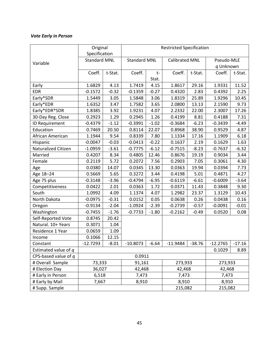## *Vote Early in Person*

|                        | Original                             |         | <b>Restricted Specification</b> |         |                       |          |                         |          |  |
|------------------------|--------------------------------------|---------|---------------------------------|---------|-----------------------|----------|-------------------------|----------|--|
|                        | Specification<br><b>Standard MNL</b> |         | <b>Standard MNL</b>             |         |                       |          |                         |          |  |
| Variable               |                                      |         |                                 |         | <b>Calibrated MNL</b> |          | Pseudo-MLE<br>q Unknown |          |  |
|                        | Coeff.                               | t-Stat. | Coeff.                          | $t-$    | Coeff.                | t-Stat.  | Coeff.                  | t-Stat.  |  |
|                        |                                      |         |                                 | Stat.   |                       |          |                         |          |  |
| Early                  | 1.6829                               | 4.13    | 1.7419                          | 4.15    | 1.8617                | 29.16    | 1.9331                  | 11.52    |  |
| <b>EDR</b>             | $-0.1572$                            | $-0.32$ | $-0.1359$                       | $-0.27$ | 0.4320                | 2.83     | 0.4392                  | 2.25     |  |
| Early*SDR              | 1.5449                               | 3.05    | 1.5848                          | 3.06    | 1.8319                | 25.89    | 1.9296                  | 10.45    |  |
| Early*EDR              | 1.6352                               | 3.47    | 1.7582                          | 3.65    | 2.0800                | 13.13    | 2.1590                  | 9.73     |  |
| Early*EDR*SDR          | 1.8385                               | 3.92    | 1.9231                          | 4.07    | 2.2332                | 22.00    | 2.3007                  | 17.26    |  |
| 30-Day Reg. Close      | 0.2923                               | 1.29    | 0.2945                          | 1.26    | 0.4199                | 8.81     | 0.4188                  | 7.31     |  |
| ID Requirement         | $-0.4379$                            | $-1.12$ | $-0.3991$                       | $-1.02$ | $-0.3684$             | $-6.23$  | $-0.3439$               | $-4.49$  |  |
| Education              | 0.7469                               | 20.50   | 0.8114                          | 22.07   | 0.8968                | 38.90    | 0.9529                  | 4.87     |  |
| African American       | 1.1944                               | 9.54    | 0.8339                          | 7.80    | 1.1334                | 17.16    | 1.1909                  | 6.18     |  |
| Hispanic               | $-0.0047$                            | $-0.03$ | $-0.0413$                       | $-0.22$ | 0.1637                | 2.19     | 0.1629                  | 1.63     |  |
| Naturalized Citizen    | $-1.0959$                            | $-3.61$ | $-0.7775$                       | $-6.12$ | $-0.7515$             | $-8.23$  | $-0.7637$               | $-6.32$  |  |
| Married                | 0.4207                               | 8.34    | 0.4805                          | 12.46   | 0.8676                | 19.19    | 0.9034                  | 3.44     |  |
| Female                 | 0.2119                               | 5.72    | 0.2072                          | 7.56    | 0.2903                | 7.05     | 0.3061                  | 4.30     |  |
| Age                    | 0.0380                               | 14.07   | 0.0345                          | 13.30   | 0.0363                | 19.94    | 0.0394                  | 7.73     |  |
| Age 18-24              | 0.5669                               | 5.65    | 0.3272                          | 3.44    | 0.4198                | 5.01     | 0.4871                  | 4.27     |  |
| Age 75 plus            | $-0.3148$                            | $-3.96$ | $-0.4794$                       | $-6.95$ | $-0.6119$             | $-6.61$  | $-0.6009$               | $-3.64$  |  |
| Competitiveness        | 0.0422                               | 2.01    | 0.0363                          | 1.72    | 0.0371                | 11.43    | 0.3848                  | 9.30     |  |
| South                  | 1.0992                               | 4.09    | 1.1374                          | 4.07    | 1.2982                | 23.37    | 1.3129                  | 10.43    |  |
| North Dakota           | $-0.0975$                            | $-0.31$ | 0.0152                          | 0.05    | 0.0638                | 0.26     | 0.0438                  | 0.16     |  |
| Oregon                 | $-0.9134$                            | $-2.04$ | $-1.0924$                       | $-2.39$ | $-0.2739$             | $-0.57$  | $-0.0091$               | $-0.01$  |  |
| Washington             | $-0.7455$                            | $-1.76$ | $-0.7733$                       | $-1.80$ | $-0.2162$             | $-0.49$  | 0.0520                  | 0.08     |  |
| Self-Reported Vote     | 0.8745                               | 20.42   |                                 |         |                       |          |                         |          |  |
| Natural. 10+ Years     | 0.3071                               | 1.04    |                                 |         |                       |          |                         |          |  |
| Residence 1 Year       | 0.0659                               | 1.09    |                                 |         |                       |          |                         |          |  |
| Income                 | 0.1066                               | 12.15   |                                 |         |                       |          |                         |          |  |
| Constant               | $-12.7293$                           | $-8.01$ | $-10.8073$                      | $-6.64$ | $-11.9484$            | $-38.76$ | $-12.2765$              | $-17.16$ |  |
| Estimated value of q   |                                      |         |                                 |         |                       |          | 0.1029                  | 8.89     |  |
| CPS-based value of $q$ |                                      |         | 0.0911                          |         |                       |          |                         |          |  |
| # Overall Sample       | 73,333                               |         | 91,161                          |         | 273,933               |          | 273,933                 |          |  |
| # Election Day         | 36,027                               |         | 42,468                          |         | 42,468                |          | 42,468                  |          |  |
| # Early in Person      | 6,518                                |         | 7,473                           |         | 7,473                 |          | 7,473                   |          |  |
| # Early by Mail        | 7,667                                |         | 8,910                           |         | 8,910                 |          | 8,910                   |          |  |
| # Supp. Sample         |                                      |         |                                 |         | 215,082               |          | 215,082                 |          |  |